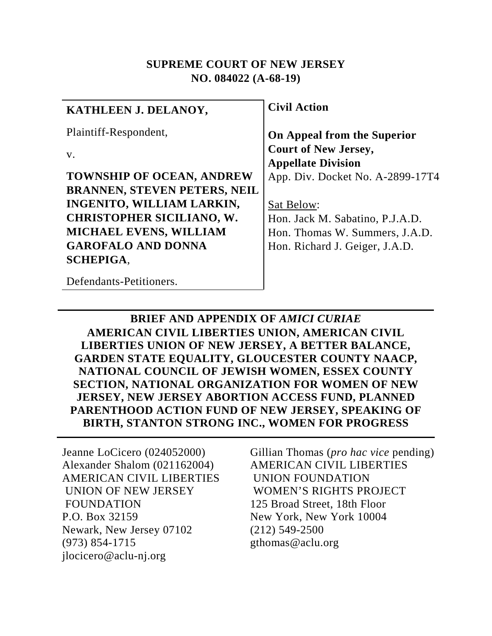#### **SUPREME COURT OF NEW JERSEY NO. 084022 (A-68-19)**

| KATHLEEN J. DELANOY,                | <b>Civil Action</b>              |
|-------------------------------------|----------------------------------|
| Plaintiff-Respondent,               | On Appeal from the Superior      |
| $V_{\cdot}$                         | <b>Court of New Jersey,</b>      |
|                                     | <b>Appellate Division</b>        |
| <b>TOWNSHIP OF OCEAN, ANDREW</b>    | App. Div. Docket No. A-2899-17T4 |
| <b>BRANNEN, STEVEN PETERS, NEIL</b> |                                  |
| <b>INGENITO, WILLIAM LARKIN,</b>    | Sat Below:                       |
| <b>CHRISTOPHER SICILIANO, W.</b>    | Hon. Jack M. Sabatino, P.J.A.D.  |
| <b>MICHAEL EVENS, WILLIAM</b>       | Hon. Thomas W. Summers, J.A.D.   |
| <b>GAROFALO AND DONNA</b>           | Hon. Richard J. Geiger, J.A.D.   |
| <b>SCHEPIGA.</b>                    |                                  |
| Defendants-Petitioners.             |                                  |

**BRIEF AND APPENDIX OF** *AMICI CURIAE* **AMERICAN CIVIL LIBERTIES UNION, AMERICAN CIVIL LIBERTIES UNION OF NEW JERSEY, A BETTER BALANCE, GARDEN STATE EQUALITY, GLOUCESTER COUNTY NAACP, NATIONAL COUNCIL OF JEWISH WOMEN, ESSEX COUNTY SECTION, NATIONAL ORGANIZATION FOR WOMEN OF NEW JERSEY, NEW JERSEY ABORTION ACCESS FUND, PLANNED PARENTHOOD ACTION FUND OF NEW JERSEY, SPEAKING OF BIRTH, STANTON STRONG INC., WOMEN FOR PROGRESS**

Jeanne LoCicero (024052000) Alexander Shalom (021162004) AMERICAN CIVIL LIBERTIES UNION OF NEW JERSEY FOUNDATION P.O. Box 32159 Newark, New Jersey 07102 (973) 854-1715 jlocicero@aclu-nj.org

Gillian Thomas (*pro hac vice* pending) AMERICAN CIVIL LIBERTIES UNION FOUNDATION WOMEN'S RIGHTS PROJECT 125 Broad Street, 18th Floor New York, New York 10004 (212) 549-2500 gthomas@aclu.org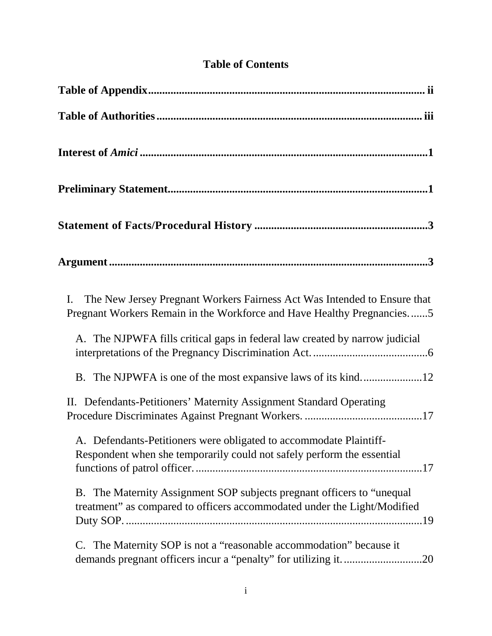|  | <b>Table of Contents</b> |
|--|--------------------------|
|  |                          |

| The New Jersey Pregnant Workers Fairness Act Was Intended to Ensure that<br>I.<br>Pregnant Workers Remain in the Workforce and Have Healthy Pregnancies5 |
|----------------------------------------------------------------------------------------------------------------------------------------------------------|
| A. The NJPWFA fills critical gaps in federal law created by narrow judicial                                                                              |
|                                                                                                                                                          |
| II. Defendants-Petitioners' Maternity Assignment Standard Operating                                                                                      |
| A. Defendants-Petitioners were obligated to accommodate Plaintiff-<br>Respondent when she temporarily could not safely perform the essential             |
| B. The Maternity Assignment SOP subjects pregnant officers to "unequal<br>treatment" as compared to officers accommodated under the Light/Modified       |
| C. The Maternity SOP is not a "reasonable accommodation" because it                                                                                      |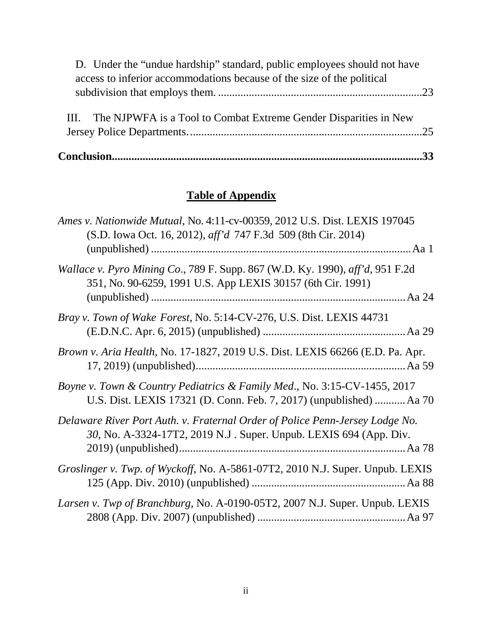| D. Under the "undue hardship" standard, public employees should not have |  |
|--------------------------------------------------------------------------|--|
| access to inferior accommodations because of the size of the political   |  |
|                                                                          |  |
| III. The NJPWFA is a Tool to Combat Extreme Gender Disparities in New    |  |
|                                                                          |  |

# **Table of Appendix**

| Ames v. Nationwide Mutual, No. 4:11-cv-00359, 2012 U.S. Dist. LEXIS 197045<br>(S.D. Iowa Oct. 16, 2012), aff'd 747 F.3d 509 (8th Cir. 2014)       |
|---------------------------------------------------------------------------------------------------------------------------------------------------|
| Wallace v. Pyro Mining Co., 789 F. Supp. 867 (W.D. Ky. 1990), aff'd, 951 F.2d<br>351, No. 90-6259, 1991 U.S. App LEXIS 30157 (6th Cir. 1991)      |
| Bray v. Town of Wake Forest, No. 5:14-CV-276, U.S. Dist. LEXIS 44731                                                                              |
| Brown v. Aria Health, No. 17-1827, 2019 U.S. Dist. LEXIS 66266 (E.D. Pa. Apr.                                                                     |
| Boyne v. Town & Country Pediatrics & Family Med., No. 3:15-CV-1455, 2017<br>U.S. Dist. LEXIS 17321 (D. Conn. Feb. 7, 2017) (unpublished)  Aa 70   |
| Delaware River Port Auth. v. Fraternal Order of Police Penn-Jersey Lodge No.<br>30, No. A-3324-17T2, 2019 N.J. Super. Unpub. LEXIS 694 (App. Div. |
| Groslinger v. Twp. of Wyckoff, No. A-5861-07T2, 2010 N.J. Super. Unpub. LEXIS                                                                     |
| Larsen v. Twp of Branchburg, No. A-0190-05T2, 2007 N.J. Super. Unpub. LEXIS                                                                       |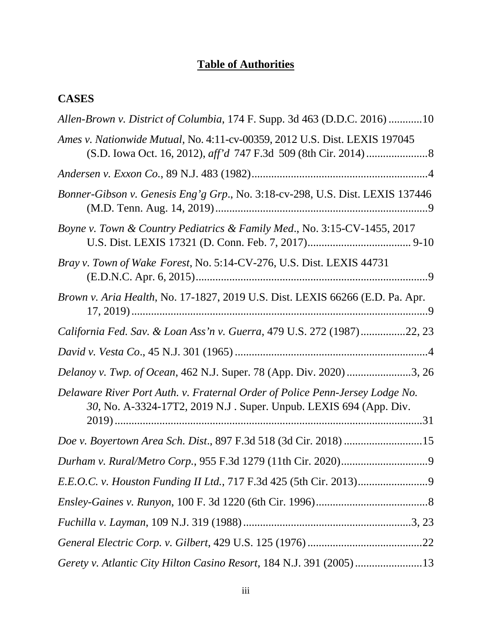# **Table of Authorities**

# <span id="page-3-0"></span>**CASES**

| Allen-Brown v. District of Columbia, 174 F. Supp. 3d 463 (D.D.C. 2016) 10                                                                         |
|---------------------------------------------------------------------------------------------------------------------------------------------------|
| Ames v. Nationwide Mutual, No. 4:11-cv-00359, 2012 U.S. Dist. LEXIS 197045                                                                        |
|                                                                                                                                                   |
| Bonner-Gibson v. Genesis Eng'g Grp., No. 3:18-cv-298, U.S. Dist. LEXIS 137446                                                                     |
| Boyne v. Town & Country Pediatrics & Family Med., No. 3:15-CV-1455, 2017                                                                          |
| Bray v. Town of Wake Forest, No. 5:14-CV-276, U.S. Dist. LEXIS 44731                                                                              |
| Brown v. Aria Health, No. 17-1827, 2019 U.S. Dist. LEXIS 66266 (E.D. Pa. Apr.                                                                     |
| California Fed. Sav. & Loan Ass'n v. Guerra, 479 U.S. 272 (1987)22, 23                                                                            |
|                                                                                                                                                   |
| Delanoy v. Twp. of Ocean, 462 N.J. Super. 78 (App. Div. 2020) 3, 26                                                                               |
| Delaware River Port Auth. v. Fraternal Order of Police Penn-Jersey Lodge No.<br>30, No. A-3324-17T2, 2019 N.J. Super. Unpub. LEXIS 694 (App. Div. |
| Doe v. Boyertown Area Sch. Dist., 897 F.3d 518 (3d Cir. 2018) 15                                                                                  |
|                                                                                                                                                   |
|                                                                                                                                                   |
|                                                                                                                                                   |
|                                                                                                                                                   |
|                                                                                                                                                   |
| Gerety v. Atlantic City Hilton Casino Resort, 184 N.J. 391 (2005)13                                                                               |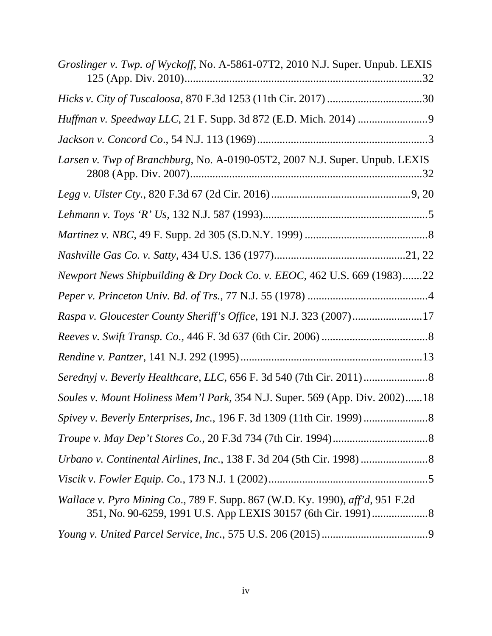| Groslinger v. Twp. of Wyckoff, No. A-5861-07T2, 2010 N.J. Super. Unpub. LEXIS<br>.32 |
|--------------------------------------------------------------------------------------|
|                                                                                      |
|                                                                                      |
|                                                                                      |
| Larsen v. Twp of Branchburg, No. A-0190-05T2, 2007 N.J. Super. Unpub. LEXIS          |
|                                                                                      |
|                                                                                      |
|                                                                                      |
|                                                                                      |
| Newport News Shipbuilding & Dry Dock Co. v. EEOC, 462 U.S. 669 (1983)22              |
|                                                                                      |
| Raspa v. Gloucester County Sheriff's Office, 191 N.J. 323 (2007)17                   |
|                                                                                      |
|                                                                                      |
|                                                                                      |
| Soules v. Mount Holiness Mem'l Park, 354 N.J. Super. 569 (App. Div. 2002)18          |
|                                                                                      |
|                                                                                      |
|                                                                                      |
|                                                                                      |
| Wallace v. Pyro Mining Co., 789 F. Supp. 867 (W.D. Ky. 1990), aff'd, 951 F.2d        |
|                                                                                      |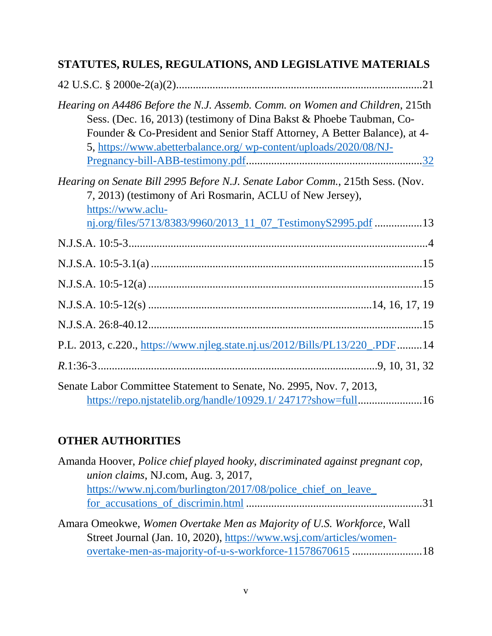| STATUTES, RULES, REGULATIONS, AND LEGISLATIVE MATERIALS                                                                                                                                                                                                                                                |
|--------------------------------------------------------------------------------------------------------------------------------------------------------------------------------------------------------------------------------------------------------------------------------------------------------|
|                                                                                                                                                                                                                                                                                                        |
| Hearing on A4486 Before the N.J. Assemb. Comm. on Women and Children, 215th<br>Sess. (Dec. 16, 2013) (testimony of Dina Bakst & Phoebe Taubman, Co-<br>Founder & Co-President and Senior Staff Attorney, A Better Balance), at 4-<br>5, https://www.abetterbalance.org/ wp-content/uploads/2020/08/NJ- |
| Hearing on Senate Bill 2995 Before N.J. Senate Labor Comm., 215th Sess. (Nov.<br>7, 2013) (testimony of Ari Rosmarin, ACLU of New Jersey),<br>https://www.aclu-<br>nj.org/files/5713/8383/9960/2013_11_07_TestimonyS2995.pdf 13                                                                        |
|                                                                                                                                                                                                                                                                                                        |
|                                                                                                                                                                                                                                                                                                        |
|                                                                                                                                                                                                                                                                                                        |
|                                                                                                                                                                                                                                                                                                        |
|                                                                                                                                                                                                                                                                                                        |
| P.L. 2013, c.220., https://www.njleg.state.nj.us/2012/Bills/PL13/220_.PDF14                                                                                                                                                                                                                            |
|                                                                                                                                                                                                                                                                                                        |
| Senate Labor Committee Statement to Senate, No. 2995, Nov. 7, 2013,                                                                                                                                                                                                                                    |

[https://repo.njstatelib.org/handle/10929.1/ 24717?show=full.](https://repo.njstatelib.org/handle/10929.1/%2024717?show=full)......................16

# **OTHER AUTHORITIES**

| Amanda Hoover, <i>Police chief played hooky</i> , <i>discriminated against pregnant cop</i> ,                                                                                      |  |
|------------------------------------------------------------------------------------------------------------------------------------------------------------------------------------|--|
| <i>union claims, NJ.com, Aug. 3, 2017,</i>                                                                                                                                         |  |
| https://www.nj.com/burlington/2017/08/police_chief_on_leave_                                                                                                                       |  |
|                                                                                                                                                                                    |  |
| $\Lambda$ means $\Omega$ measure $\Pi$ , $\Omega$ and $\Omega$ and $\Lambda$ and $\Lambda$ and $\Lambda$ and $\Lambda$ and $\Lambda$ $\Omega$ and $\Lambda$ $\Omega$ and $\Lambda$ |  |

Amara Omeokwe, *Women Overtake Men as Majority of U.S. Workforce*, Wall Street Journal (Jan. 10, 2020), [https://www.wsj.com/articles/women](https://www.wsj.com/articles/women-overtake-men-as-majority-of-u-s-workforce-11578670615)[overtake-men-as-majority-of-u-s-workforce-11578670615](https://www.wsj.com/articles/women-overtake-men-as-majority-of-u-s-workforce-11578670615) .........................18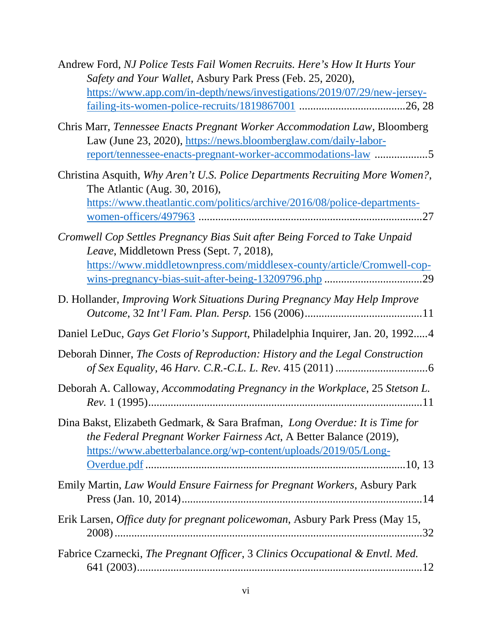| Andrew Ford, NJ Police Tests Fail Women Recruits. Here's How It Hurts Your<br>Safety and Your Wallet, Asbury Park Press (Feb. 25, 2020),                                                                             |
|----------------------------------------------------------------------------------------------------------------------------------------------------------------------------------------------------------------------|
| https://www.app.com/in-depth/news/investigations/2019/07/29/new-jersey-                                                                                                                                              |
|                                                                                                                                                                                                                      |
| Chris Marr, Tennessee Enacts Pregnant Worker Accommodation Law, Bloomberg<br>Law (June 23, 2020), https://news.bloomberglaw.com/daily-labor-<br><u>report/tennessee-enacts-pregnant-worker-accommodations-law</u> 5  |
| Christina Asquith, Why Aren't U.S. Police Departments Recruiting More Women?,<br>The Atlantic (Aug. 30, 2016),<br>https://www.theatlantic.com/politics/archive/2016/08/police-departments-                           |
| Cromwell Cop Settles Pregnancy Bias Suit after Being Forced to Take Unpaid<br>Leave, Middletown Press (Sept. 7, 2018),<br>https://www.middletownpress.com/middlesex-county/article/Cromwell-cop-                     |
| D. Hollander, Improving Work Situations During Pregnancy May Help Improve                                                                                                                                            |
| Daniel LeDuc, Gays Get Florio's Support, Philadelphia Inquirer, Jan. 20, 19924                                                                                                                                       |
| Deborah Dinner, The Costs of Reproduction: History and the Legal Construction                                                                                                                                        |
| Deborah A. Calloway, Accommodating Pregnancy in the Workplace, 25 Stetson L.                                                                                                                                         |
| Dina Bakst, Elizabeth Gedmark, & Sara Brafman, Long Overdue: It is Time for<br>the Federal Pregnant Worker Fairness Act, A Better Balance (2019),<br>https://www.abetterbalance.org/wp-content/uploads/2019/05/Long- |
| Emily Martin, Law Would Ensure Fairness for Pregnant Workers, Asbury Park                                                                                                                                            |
| Erik Larsen, Office duty for pregnant policewoman, Asbury Park Press (May 15,                                                                                                                                        |
| Fabrice Czarnecki, The Pregnant Officer, 3 Clinics Occupational & Envtl. Med.                                                                                                                                        |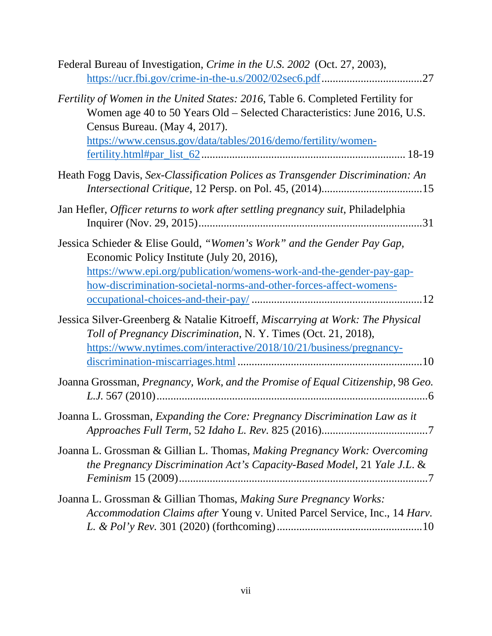| Federal Bureau of Investigation, <i>Crime in the U.S. 2002</i> (Oct. 27, 2003),<br>.27                                                                                                                                                                           |
|------------------------------------------------------------------------------------------------------------------------------------------------------------------------------------------------------------------------------------------------------------------|
| Fertility of Women in the United States: 2016, Table 6. Completed Fertility for<br>Women age 40 to 50 Years Old – Selected Characteristics: June 2016, U.S.<br>Census Bureau. (May 4, 2017).<br>https://www.census.gov/data/tables/2016/demo/fertility/women-    |
| Heath Fogg Davis, Sex-Classification Polices as Transgender Discrimination: An                                                                                                                                                                                   |
| Jan Hefler, Officer returns to work after settling pregnancy suit, Philadelphia                                                                                                                                                                                  |
| Jessica Schieder & Elise Gould, "Women's Work" and the Gender Pay Gap,<br>Economic Policy Institute (July 20, 2016),<br>https://www.epi.org/publication/womens-work-and-the-gender-pay-gap-<br>how-discrimination-societal-norms-and-other-forces-affect-womens- |
| Jessica Silver-Greenberg & Natalie Kitroeff, Miscarrying at Work: The Physical<br>Toll of Pregnancy Discrimination, N.Y. Times (Oct. 21, 2018),<br>https://www.nytimes.com/interactive/2018/10/21/business/pregnancy-                                            |
| Joanna Grossman, Pregnancy, Work, and the Promise of Equal Citizenship, 98 Geo.                                                                                                                                                                                  |
| Joanna L. Grossman, Expanding the Core: Pregnancy Discrimination Law as it                                                                                                                                                                                       |
| Joanna L. Grossman & Gillian L. Thomas, Making Pregnancy Work: Overcoming<br>the Pregnancy Discrimination Act's Capacity-Based Model, 21 Yale J.L. &                                                                                                             |
| Joanna L. Grossman & Gillian Thomas, Making Sure Pregnancy Works:<br>Accommodation Claims after Young v. United Parcel Service, Inc., 14 Harv.                                                                                                                   |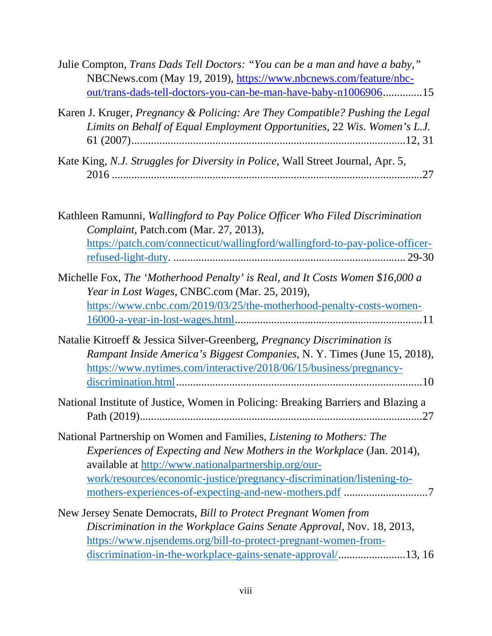| Julie Compton, Trans Dads Tell Doctors: "You can be a man and have a baby,"<br>NBCNews.com (May 19, 2019), https://www.nbcnews.com/feature/nbc-<br>out/trans-dads-tell-doctors-you-can-be-man-have-baby-n100690615                                                                |
|-----------------------------------------------------------------------------------------------------------------------------------------------------------------------------------------------------------------------------------------------------------------------------------|
| Karen J. Kruger, Pregnancy & Policing: Are They Compatible? Pushing the Legal<br>Limits on Behalf of Equal Employment Opportunities, 22 Wis. Women's L.J.                                                                                                                         |
| Kate King, N.J. Struggles for Diversity in Police, Wall Street Journal, Apr. 5,                                                                                                                                                                                                   |
| Kathleen Ramunni, Wallingford to Pay Police Officer Who Filed Discrimination<br>Complaint, Patch.com (Mar. 27, 2013),                                                                                                                                                             |
| https://patch.com/connecticut/wallingford/wallingford-to-pay-police-officer-                                                                                                                                                                                                      |
| Michelle Fox, The 'Motherhood Penalty' is Real, and It Costs Women \$16,000 a<br>Year in Lost Wages, CNBC.com (Mar. 25, 2019),<br>https://www.cnbc.com/2019/03/25/the-motherhood-penalty-costs-women-                                                                             |
| Natalie Kitroeff & Jessica Silver-Greenberg, Pregnancy Discrimination is<br>Rampant Inside America's Biggest Companies, N.Y. Times (June 15, 2018),<br>https://www.nytimes.com/interactive/2018/06/15/business/pregnancy-                                                         |
| National Institute of Justice, Women in Policing: Breaking Barriers and Blazing a<br>.27                                                                                                                                                                                          |
| National Partnership on Women and Families, Listening to Mothers: The<br>Experiences of Expecting and New Mothers in the Workplace (Jan. 2014),<br>available at http://www.nationalpartnership.org/our-<br>work/resources/economic-justice/pregnancy-discrimination/listening-to- |
| New Jersey Senate Democrats, Bill to Protect Pregnant Women from<br>Discrimination in the Workplace Gains Senate Approval, Nov. 18, 2013,<br>https://www.njsendems.org/bill-to-protect-pregnant-women-from-<br>discrimination-in-the-workplace-gains-senate-approval/13, 16       |
|                                                                                                                                                                                                                                                                                   |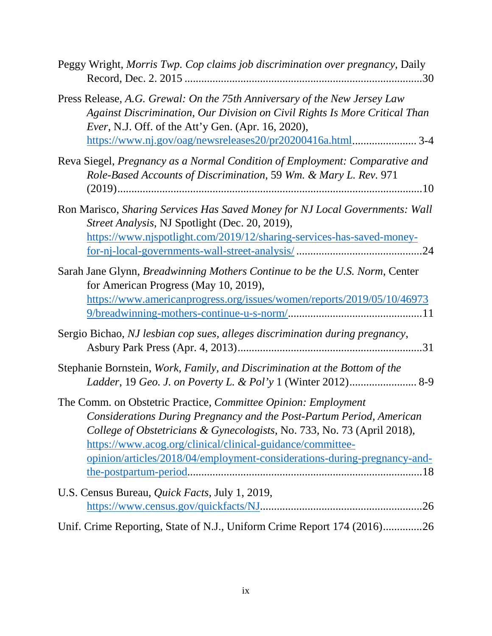| Peggy Wright, Morris Twp. Cop claims job discrimination over pregnancy, Daily                                                                                                                                                                                                                                                                               |
|-------------------------------------------------------------------------------------------------------------------------------------------------------------------------------------------------------------------------------------------------------------------------------------------------------------------------------------------------------------|
| Press Release, A.G. Grewal: On the 75th Anniversary of the New Jersey Law<br>Against Discrimination, Our Division on Civil Rights Is More Critical Than<br><i>Ever</i> , N.J. Off. of the Att'y Gen. (Apr. 16, 2020),<br>https://www.nj.gov/oag/newsreleases20/pr20200416a.html 3-4                                                                         |
| Reva Siegel, Pregnancy as a Normal Condition of Employment: Comparative and<br>Role-Based Accounts of Discrimination, 59 Wm. & Mary L. Rev. 971                                                                                                                                                                                                             |
| Ron Marisco, Sharing Services Has Saved Money for NJ Local Governments: Wall<br>Street Analysis, NJ Spotlight (Dec. 20, 2019),<br>https://www.njspotlight.com/2019/12/sharing-services-has-saved-money-                                                                                                                                                     |
| Sarah Jane Glynn, Breadwinning Mothers Continue to be the U.S. Norm, Center<br>for American Progress (May 10, 2019),<br>https://www.americanprogress.org/issues/women/reports/2019/05/10/46973                                                                                                                                                              |
| Sergio Bichao, NJ lesbian cop sues, alleges discrimination during pregnancy,                                                                                                                                                                                                                                                                                |
| Stephanie Bornstein, Work, Family, and Discrimination at the Bottom of the<br>Ladder, 19 Geo. J. on Poverty L. & Pol'y 1 (Winter 2012) 8-9                                                                                                                                                                                                                  |
| The Comm. on Obstetric Practice, Committee Opinion: Employment<br>Considerations During Pregnancy and the Post-Partum Period, American<br>College of Obstetricians & Gynecologists, No. 733, No. 73 (April 2018),<br>https://www.acog.org/clinical/clinical-guidance/committee-<br>opinion/articles/2018/04/employment-considerations-during-pregnancy-and- |
| U.S. Census Bureau, <i>Quick Facts</i> , July 1, 2019,                                                                                                                                                                                                                                                                                                      |
| Unif. Crime Reporting, State of N.J., Uniform Crime Report 174 (2016)26                                                                                                                                                                                                                                                                                     |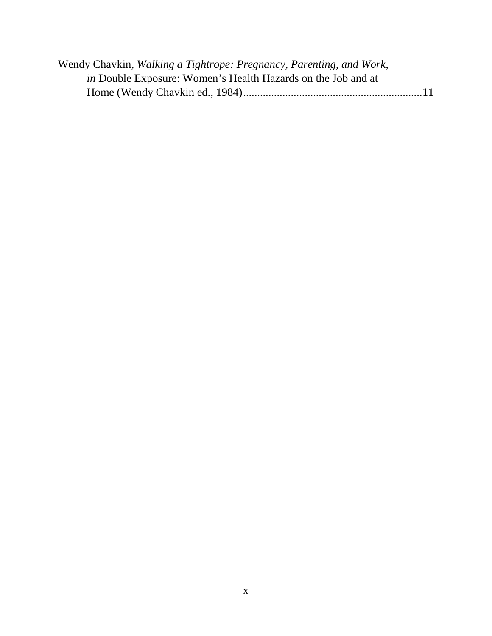| Wendy Chavkin, Walking a Tightrope: Pregnancy, Parenting, and Work, |  |
|---------------------------------------------------------------------|--|
| <i>in</i> Double Exposure: Women's Health Hazards on the Job and at |  |
|                                                                     |  |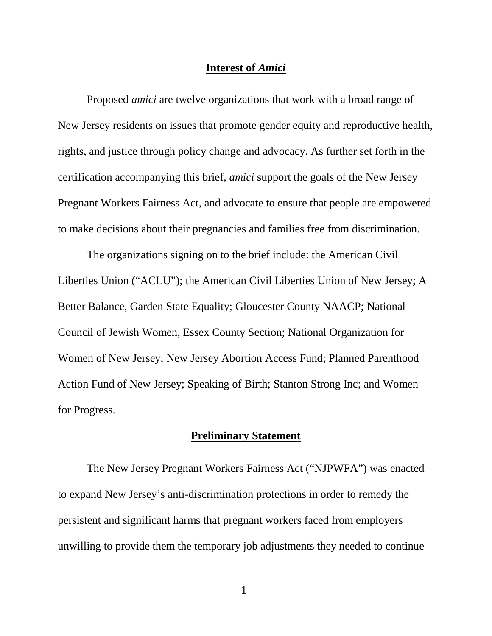#### **Interest of** *Amici*

<span id="page-11-0"></span>Proposed *amici* are twelve organizations that work with a broad range of New Jersey residents on issues that promote gender equity and reproductive health, rights, and justice through policy change and advocacy. As further set forth in the certification accompanying this brief, *amici* support the goals of the New Jersey Pregnant Workers Fairness Act, and advocate to ensure that people are empowered to make decisions about their pregnancies and families free from discrimination.

The organizations signing on to the brief include: the American Civil Liberties Union ("ACLU"); the American Civil Liberties Union of New Jersey; A Better Balance, Garden State Equality; Gloucester County NAACP; National Council of Jewish Women, Essex County Section; National Organization for Women of New Jersey; New Jersey Abortion Access Fund; Planned Parenthood Action Fund of New Jersey; Speaking of Birth; Stanton Strong Inc; and Women for Progress.

#### **Preliminary Statement**

<span id="page-11-1"></span>The New Jersey Pregnant Workers Fairness Act ("NJPWFA") was enacted to expand New Jersey's anti-discrimination protections in order to remedy the persistent and significant harms that pregnant workers faced from employers unwilling to provide them the temporary job adjustments they needed to continue

1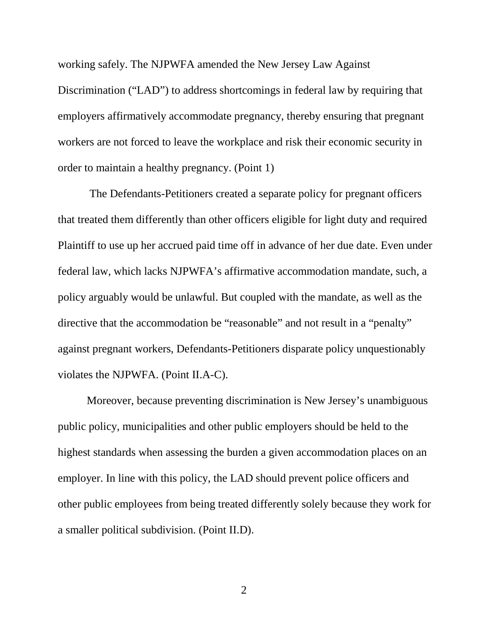working safely. The NJPWFA amended the New Jersey Law Against

Discrimination ("LAD") to address shortcomings in federal law by requiring that employers affirmatively accommodate pregnancy, thereby ensuring that pregnant workers are not forced to leave the workplace and risk their economic security in order to maintain a healthy pregnancy. (Point 1)

The Defendants-Petitioners created a separate policy for pregnant officers that treated them differently than other officers eligible for light duty and required Plaintiff to use up her accrued paid time off in advance of her due date. Even under federal law, which lacks NJPWFA's affirmative accommodation mandate, such, a policy arguably would be unlawful. But coupled with the mandate, as well as the directive that the accommodation be "reasonable" and not result in a "penalty" against pregnant workers, Defendants-Petitioners disparate policy unquestionably violates the NJPWFA. (Point II.A-C).

Moreover, because preventing discrimination is New Jersey's unambiguous public policy, municipalities and other public employers should be held to the highest standards when assessing the burden a given accommodation places on an employer. In line with this policy, the LAD should prevent police officers and other public employees from being treated differently solely because they work for a smaller political subdivision. (Point II.D).

2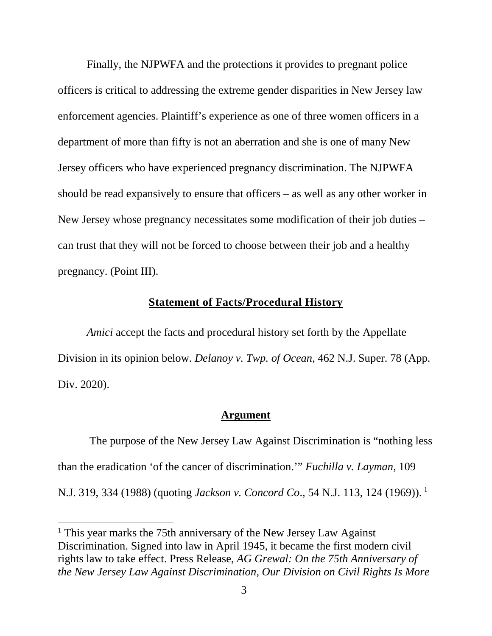Finally, the NJPWFA and the protections it provides to pregnant police officers is critical to addressing the extreme gender disparities in New Jersey law enforcement agencies. Plaintiff's experience as one of three women officers in a department of more than fifty is not an aberration and she is one of many New Jersey officers who have experienced pregnancy discrimination. The NJPWFA should be read expansively to ensure that officers – as well as any other worker in New Jersey whose pregnancy necessitates some modification of their job duties – can trust that they will not be forced to choose between their job and a healthy pregnancy. (Point III).

#### **Statement of Facts/Procedural History**

<span id="page-13-0"></span>*Amici* accept the facts and procedural history set forth by the Appellate Division in its opinion below. *Delanoy v. Twp. of Ocean*, 462 N.J. Super. 78 (App. Div. 2020).

#### **Argument**

<span id="page-13-1"></span>The purpose of the New Jersey Law Against Discrimination is "nothing less than the eradication 'of the cancer of discrimination.'" *Fuchilla v. Layman*, 109 N.J. 319, 334 (1988) (quoting *Jackson v. Concord Co*., 54 N.J. 113, 124 (1969)). [1](#page-13-2)

<span id="page-13-2"></span><sup>&</sup>lt;sup>1</sup> This year marks the 75th anniversary of the New Jersey Law Against Discrimination. Signed into law in April 1945, it became the first modern civil rights law to take effect. Press Release, *AG Grewal: On the 75th Anniversary of the New Jersey Law Against Discrimination, Our Division on Civil Rights Is More*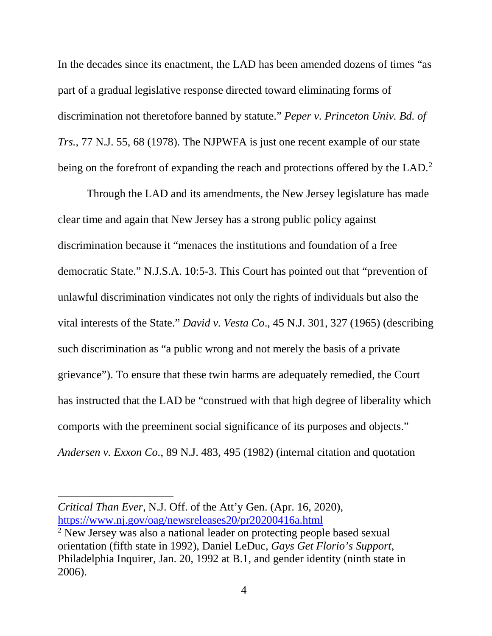In the decades since its enactment, the LAD has been amended dozens of times "as part of a gradual legislative response directed toward eliminating forms of discrimination not theretofore banned by statute." *Peper v. Princeton Univ. Bd. of Trs.*, 77 N.J. 55, 68 (1978). The NJPWFA is just one recent example of our state being on the forefront of expanding the reach and protections offered by the LAD.<sup>[2](#page-14-0)</sup>

Through the LAD and its amendments, the New Jersey legislature has made clear time and again that New Jersey has a strong public policy against discrimination because it "menaces the institutions and foundation of a free democratic State." N.J.S.A. 10:5-3. This Court has pointed out that "prevention of unlawful discrimination vindicates not only the rights of individuals but also the vital interests of the State." *David v. Vesta Co*., 45 N.J. 301, 327 (1965) (describing such discrimination as "a public wrong and not merely the basis of a private grievance"). To ensure that these twin harms are adequately remedied, the Court has instructed that the LAD be "construed with that high degree of liberality which comports with the preeminent social significance of its purposes and objects." *Andersen v. Exxon Co.*, 89 N.J. 483, 495 (1982) (internal citation and quotation

*Critical Than Ever,* N.J. Off. of the Att'y Gen. (Apr. 16, 2020), <https://www.nj.gov/oag/newsreleases20/pr20200416a.html>

<span id="page-14-0"></span><sup>&</sup>lt;sup>2</sup> New Jersey was also a national leader on protecting people based sexual orientation (fifth state in 1992), Daniel LeDuc, *Gays Get Florio's Support*, Philadelphia Inquirer, Jan. 20, 1992 at B.1, and gender identity (ninth state in 2006).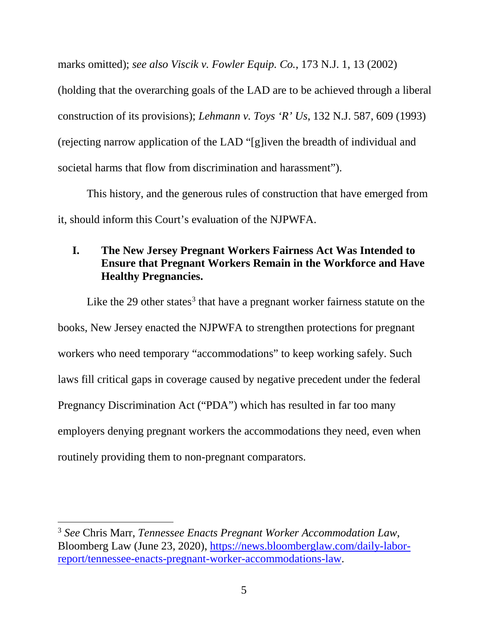marks omitted); *see also Viscik v. Fowler Equip. Co.*, 173 N.J. 1, 13 (2002)

(holding that the overarching goals of the LAD are to be achieved through a liberal construction of its provisions); *Lehmann v. Toys 'R' Us*, 132 N.J. 587, 609 (1993) (rejecting narrow application of the LAD "[g]iven the breadth of individual and societal harms that flow from discrimination and harassment").

This history, and the generous rules of construction that have emerged from it, should inform this Court's evaluation of the NJPWFA.

# <span id="page-15-0"></span>**I. The New Jersey Pregnant Workers Fairness Act Was Intended to Ensure that Pregnant Workers Remain in the Workforce and Have Healthy Pregnancies.**

Like the 29 other states<sup>[3](#page-15-1)</sup> that have a pregnant worker fairness statute on the books, New Jersey enacted the NJPWFA to strengthen protections for pregnant workers who need temporary "accommodations" to keep working safely. Such laws fill critical gaps in coverage caused by negative precedent under the federal Pregnancy Discrimination Act ("PDA") which has resulted in far too many employers denying pregnant workers the accommodations they need, even when routinely providing them to non-pregnant comparators.

<span id="page-15-1"></span><sup>3</sup> *See* Chris Marr, *Tennessee Enacts Pregnant Worker Accommodation Law*, Bloomberg Law (June 23, 2020), [https://news.bloomberglaw.com/daily-labor](https://news.bloomberglaw.com/daily-labor-report/tennessee-enacts-pregnant-worker-accommodations-law)[report/tennessee-enacts-pregnant-worker-accommodations-law.](https://news.bloomberglaw.com/daily-labor-report/tennessee-enacts-pregnant-worker-accommodations-law)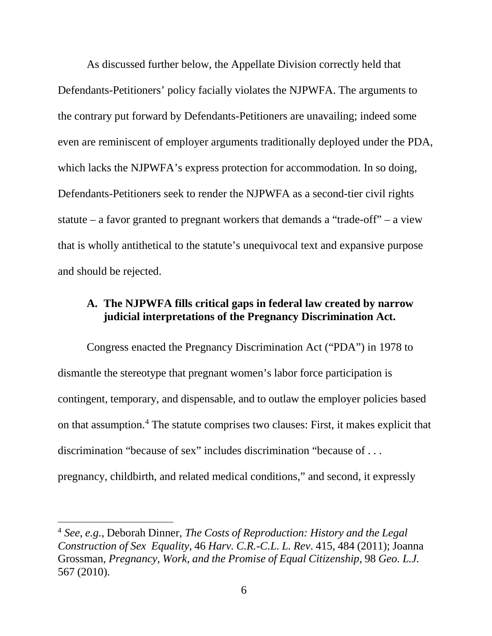As discussed further below, the Appellate Division correctly held that Defendants-Petitioners' policy facially violates the NJPWFA. The arguments to the contrary put forward by Defendants-Petitioners are unavailing; indeed some even are reminiscent of employer arguments traditionally deployed under the PDA, which lacks the NJPWFA's express protection for accommodation. In so doing, Defendants-Petitioners seek to render the NJPWFA as a second-tier civil rights statute – a favor granted to pregnant workers that demands a "trade-off" – a view that is wholly antithetical to the statute's unequivocal text and expansive purpose and should be rejected.

### <span id="page-16-0"></span>**A. The NJPWFA fills critical gaps in federal law created by narrow judicial interpretations of the Pregnancy Discrimination Act.**

Congress enacted the Pregnancy Discrimination Act ("PDA") in 1978 to dismantle the stereotype that pregnant women's labor force participation is contingent, temporary, and dispensable, and to outlaw the employer policies based on that assumption. [4](#page-16-1) The statute comprises two clauses: First, it makes explicit that discrimination "because of sex" includes discrimination "because of . . . pregnancy, childbirth, and related medical conditions," and second, it expressly

<span id="page-16-1"></span><sup>4</sup> *See, e.g.*, Deborah Dinner, *The Costs of Reproduction: History and the Legal Construction of Sex Equality*, 46 *Harv. C.R.-C.L. L. Rev*. 415, 484 (2011); Joanna Grossman, *Pregnancy, Work, and the Promise of Equal Citizenship*, 98 *Geo. L.J.* 567 (2010).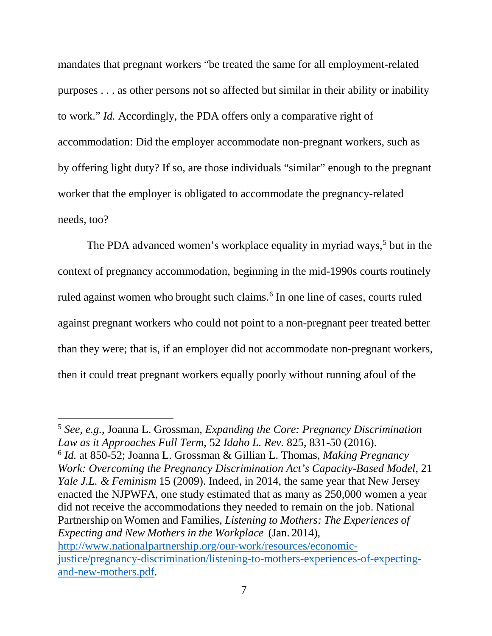mandates that pregnant workers "be treated the same for all employment-related purposes . . . as other persons not so affected but similar in their ability or inability to work." *Id.* Accordingly, the PDA offers only a comparative right of accommodation: Did the employer accommodate non-pregnant workers, such as by offering light duty? If so, are those individuals "similar" enough to the pregnant worker that the employer is obligated to accommodate the pregnancy-related needs, too?

The PDA advanced women's workplace equality in myriad ways,<sup>[5](#page-17-0)</sup> but in the context of pregnancy accommodation, beginning in the mid-1990s courts routinely ruled against women who brought such claims. [6](#page-17-1) In one line of cases, courts ruled against pregnant workers who could not point to a non-pregnant peer treated better than they were; that is, if an employer did not accommodate non-pregnant workers, then it could treat pregnant workers equally poorly without running afoul of the

 $\overline{\phantom{a}}$ 

<span id="page-17-1"></span><span id="page-17-0"></span><sup>5</sup> *See, e.g.*, Joanna L. Grossman, *Expanding the Core: Pregnancy Discrimination Law as it Approaches Full Term*, 52 *Idaho L. Rev*. 825, 831-50 (2016). <sup>6</sup> *Id.* at 850-52; Joanna L. Grossman & Gillian L. Thomas, *Making Pregnancy Work: Overcoming the Pregnancy Discrimination Act's Capacity-Based Model*, 21 *Yale J.L. & Feminism* 15 (2009). Indeed, in 2014, the same year that New Jersey enacted the NJPWFA, one study estimated that as many as 250,000 women a year did not receive the accommodations they needed to remain on the job. National Partnership on Women and Families, *Listening to Mothers: The Experiences of Expecting and New Mothers in the Workplace* (Jan. 2014), [http://www.nationalpartnership.org/our-work/resources/economic](http://www.nationalpartnership.org/our-work/resources/economic-justice/pregnancy-discrimination/listening-to-mothers-experiences-of-expecting-and-new-mothers.pdf)[justice/pregnancy-discrimination/listening-to-mothers-experiences-of-expecting](http://www.nationalpartnership.org/our-work/resources/economic-justice/pregnancy-discrimination/listening-to-mothers-experiences-of-expecting-and-new-mothers.pdf)[and-new-mothers.pdf.](http://www.nationalpartnership.org/our-work/resources/economic-justice/pregnancy-discrimination/listening-to-mothers-experiences-of-expecting-and-new-mothers.pdf)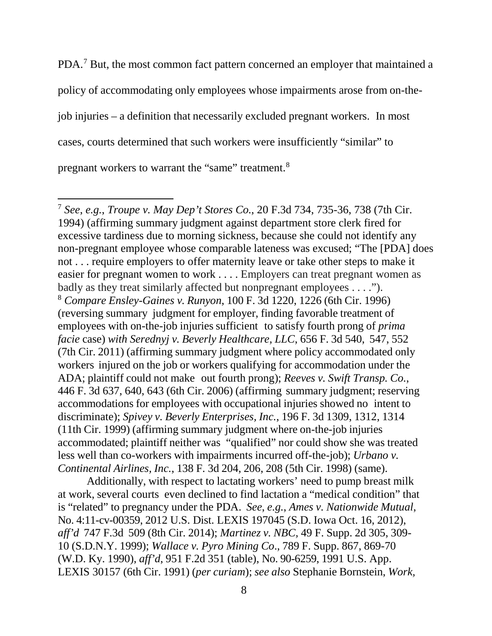PDA.[7](#page-18-0) But, the most common fact pattern concerned an employer that maintained a policy of accommodating only employees whose impairments arose from on-thejob injuries – a definition that necessarily excluded pregnant workers. In most cases, courts determined that such workers were insufficiently "similar" to pregnant workers to warrant the "same" treatment.<sup>[8](#page-18-1)</sup>

 $\overline{\phantom{a}}$ 

Additionally, with respect to lactating workers' need to pump breast milk at work, several courts even declined to find lactation a "medical condition" that is "related" to pregnancy under the PDA. *See*, *e.g.*, *Ames v. Nationwide Mutual*, No. 4:11-cv-00359, 2012 U.S. Dist. LEXIS 197045 (S.D. Iowa Oct. 16, 2012), *aff'd* 747 F.3d 509 (8th Cir. 2014); *Martinez v. NBC,* 49 F. Supp. 2d 305, 309- 10 (S.D.N.Y. 1999); *Wallace v. Pyro Mining Co*., 789 F. Supp. 867, 869-70 (W.D. Ky. 1990), *aff'd*, 951 F.2d 351 (table), No. 90-6259, 1991 U.S. App. LEXIS 30157 (6th Cir. 1991) (*per curiam*); *see also* Stephanie Bornstein, *Work,*

<span id="page-18-1"></span><span id="page-18-0"></span><sup>7</sup> *See*, *e.g.*, *Troupe v. May Dep't Stores Co.*, 20 F.3d 734, 735-36, 738 (7th Cir. 1994) (affirming summary judgment against department store clerk fired for excessive tardiness due to morning sickness, because she could not identify any non-pregnant employee whose comparable lateness was excused; "The [PDA] does not . . . require employers to offer maternity leave or take other steps to make it easier for pregnant women to work . . . . Employers can treat pregnant women as badly as they treat similarly affected but nonpregnant employees . . . ."). <sup>8</sup> *Compare Ensley-Gaines v. Runyon*, 100 F. 3d 1220, 1226 (6th Cir. 1996) (reversing summary judgment for employer, finding favorable treatment of employees with on-the-job injuries sufficient to satisfy fourth prong of *prima facie* case) *with Serednyj v. Beverly Healthcare, LLC*, 656 F. 3d 540, 547, 552 (7th Cir. 2011) (affirming summary judgment where policy accommodated only workers injured on the job or workers qualifying for accommodation under the ADA; plaintiff could not make out fourth prong); *Reeves v. Swift Transp. Co.*, 446 F. 3d 637, 640, 643 (6th Cir. 2006) (affirming summary judgment; reserving accommodations for employees with occupational injuries showed no intent to discriminate); *Spivey v. Beverly Enterprises, Inc.*, 196 F. 3d 1309, 1312, 1314 (11th Cir. 1999) (affirming summary judgment where on-the-job injuries accommodated; plaintiff neither was "qualified" nor could show she was treated less well than co-workers with impairments incurred off-the-job); *Urbano v. Continental Airlines, Inc.*, 138 F. 3d 204, 206, 208 (5th Cir. 1998) (same).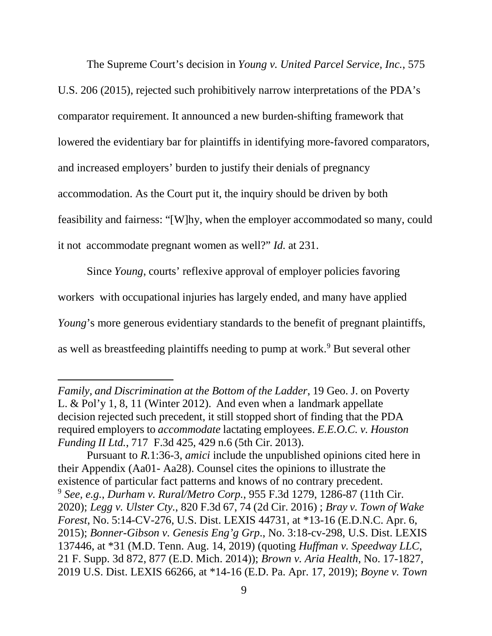The Supreme Court's decision in *Young v. United Parcel Service, Inc.*, 575 U.S. 206 (2015), rejected such prohibitively narrow interpretations of the PDA's comparator requirement. It announced a new burden-shifting framework that lowered the evidentiary bar for plaintiffs in identifying more-favored comparators, and increased employers' burden to justify their denials of pregnancy accommodation. As the Court put it, the inquiry should be driven by both feasibility and fairness: "[W]hy, when the employer accommodated so many, could it not accommodate pregnant women as well?" *Id.* at 231.

Since *Young*, courts' reflexive approval of employer policies favoring workers with occupational injuries has largely ended, and many have applied *Young*'s more generous evidentiary standards to the benefit of pregnant plaintiffs, as well as breastfeeding plaintiffs needing to pump at work. [9](#page-19-0) But several other

*Family, and Discrimination at the Bottom of the Ladder*, 19 Geo. J. on Poverty L. & Pol'y 1, 8, 11 (Winter 2012). And even when a landmark appellate decision rejected such precedent, it still stopped short of finding that the PDA required employers to *accommodate* lactating employees. *E.E.O.C. v. Houston Funding II Ltd.*, 717 F.3d 425, 429 n.6 (5th Cir. 2013).

<span id="page-19-0"></span>Pursuant to *R.*1:36-3, *amici* include the unpublished opinions cited here in their Appendix (Aa01- Aa28). Counsel cites the opinions to illustrate the existence of particular fact patterns and knows of no contrary precedent. <sup>9</sup> *See, e.g.*, *Durham v. Rural/Metro Corp.*, 955 F.3d 1279, 1286-87 (11th Cir. 2020); *Legg v. Ulster Cty.*, 820 F.3d 67, 74 (2d Cir. 2016) ; *Bray v. Town of Wake Forest*, No. 5:14-CV-276, U.S. Dist. LEXIS 44731, at \*13-16 (E.D.N.C. Apr. 6, 2015); *Bonner-Gibson v. Genesis Eng'g Grp*., No. 3:18-cv-298, U.S. Dist. LEXIS 137446, at \*31 (M.D. Tenn. Aug. 14, 2019) (quoting *Huffman v. Speedway LLC*, 21 F. Supp. 3d 872, 877 (E.D. Mich. 2014)); *Brown v. Aria Health*, No. 17-1827, 2019 U.S. Dist. LEXIS 66266, at \*14-16 (E.D. Pa. Apr. 17, 2019); *Boyne v. Town*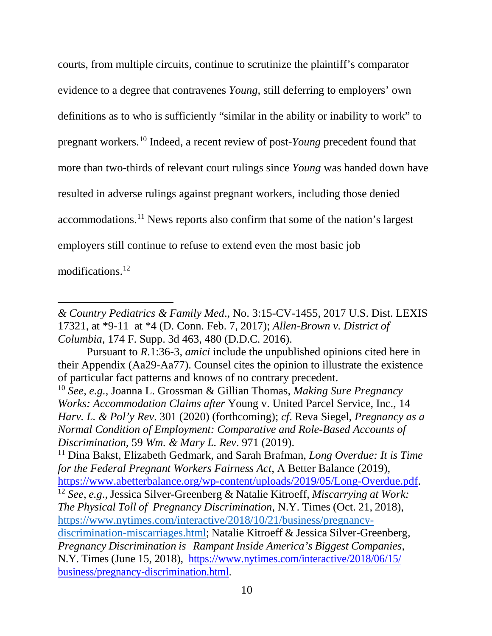courts, from multiple circuits, continue to scrutinize the plaintiff's comparator evidence to a degree that contravenes *Young*, still deferring to employers' own definitions as to who is sufficiently "similar in the ability or inability to work" to pregnant workers. [10](#page-20-0) Indeed, a recent review of post-*Young* precedent found that more than two-thirds of relevant court rulings since *Young* was handed down have resulted in adverse rulings against pregnant workers, including those denied accommodations.[11](#page-20-1) News reports also confirm that some of the nation's largest employers still continue to refuse to extend even the most basic job modifications.[12](#page-20-2)

l

<span id="page-20-2"></span><span id="page-20-1"></span><sup>11</sup> Dina Bakst, Elizabeth Gedmark, and Sarah Brafman, *Long Overdue: It is Time for the Federal Pregnant Workers Fairness Act*, A Better Balance (2019), [https://www.abetterbalance.org/wp-content/uploads/2019/05/Long-Overdue.pdf.](https://www.abetterbalance.org/wp-content/uploads/2019/05/Long-Overdue.pdf) <sup>12</sup> *See*, *e.g*., Jessica Silver-Greenberg & Natalie Kitroeff, *Miscarrying at Work: The Physical Toll of Pregnancy Discrimination*, N.Y. Times (Oct. 21, 2018), [https://www.nytimes.com/interactive/2018/10/21/business/pregnancy](https://www.nytimes.com/interactive/2018/10/21/business/pregnancy-discrimination-miscarriages.html)[discrimination-miscarriages.html;](https://www.nytimes.com/interactive/2018/10/21/business/pregnancy-discrimination-miscarriages.html) Natalie Kitroeff & Jessica Silver-Greenberg, *Pregnancy Discrimination is Rampant Inside America's Biggest Companies*, N.Y. Times (June 15, 2018), [https://www.nytimes.com/interactive/2018/06/15/](https://www.nytimes.com/interactive/2018/06/15/%20business/pregnancy-discrimination.html)  [business/pregnancy-discrimination.html.](https://www.nytimes.com/interactive/2018/06/15/%20business/pregnancy-discrimination.html)

*<sup>&</sup>amp; Country Pediatrics & Family Med*., No. 3:15-CV-1455, 2017 U.S. Dist. LEXIS 17321, at \*9-11 at \*4 (D. Conn. Feb. 7, 2017); *Allen-Brown v. District of Columbia*, 174 F. Supp. 3d 463, 480 (D.D.C. 2016).

Pursuant to *R*.1:36-3, *amici* include the unpublished opinions cited here in their Appendix (Aa29-Aa77). Counsel cites the opinion to illustrate the existence of particular fact patterns and knows of no contrary precedent.

<span id="page-20-0"></span><sup>10</sup> *See*, *e.g.*, Joanna L. Grossman & Gillian Thomas, *Making Sure Pregnancy Works: Accommodation Claims after* Young v. United Parcel Service, Inc., 14 *Harv. L. & Pol'y Rev*. 301 (2020) (forthcoming); *cf*. Reva Siegel, *Pregnancy as a Normal Condition of Employment: Comparative and Role-Based Accounts of Discrimination*, 59 *Wm. & Mary L. Rev*. 971 (2019).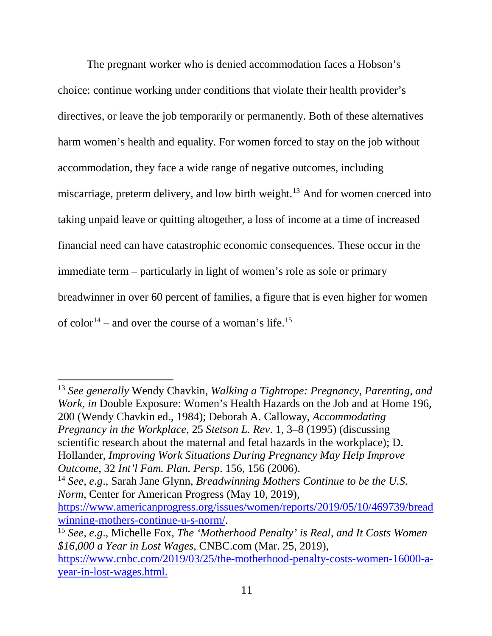The pregnant worker who is denied accommodation faces a Hobson's choice: continue working under conditions that violate their health provider's directives, or leave the job temporarily or permanently. Both of these alternatives harm women's health and equality. For women forced to stay on the job without accommodation, they face a wide range of negative outcomes, including miscarriage, preterm delivery, and low birth weight.<sup>[13](#page-21-0)</sup> And for women coerced into taking unpaid leave or quitting altogether, a loss of income at a time of increased financial need can have catastrophic economic consequences. These occur in the immediate term – particularly in light of women's role as sole or primary breadwinner in over 60 percent of families, a figure that is even higher for women of color<sup>14</sup> – and over the course of a woman's life.<sup>[15](#page-21-2)</sup>

<span id="page-21-0"></span><sup>13</sup> *See generally* Wendy Chavkin, *Walking a Tightrope: Pregnancy, Parenting, and Work, in* Double Exposure: Women's Health Hazards on the Job and at Home 196, 200 (Wendy Chavkin ed., 1984); Deborah A. Calloway, *Accommodating Pregnancy in the Workplace*, 25 *Stetson L. Rev*. 1, 3–8 (1995) (discussing scientific research about the maternal and fetal hazards in the workplace); D. Hollander, *Improving Work Situations During Pregnancy May Help Improve Outcome*, 32 *Int'l Fam. Plan. Persp*. 156, 156 (2006).

<span id="page-21-1"></span><sup>14</sup> *See, e.g*., Sarah Jane Glynn, *Breadwinning Mothers Continue to be the U.S. Norm*, Center for American Progress (May 10, 2019),

[https://www.americanprogress.org/issues/women/reports/2019/05/10/469739/bread](https://www.americanprogress.org/issues/women/reports/2019/05/10/469739/breadwinning-mothers-continue-u-s-norm/) [winning-mothers-continue-u-s-norm/.](https://www.americanprogress.org/issues/women/reports/2019/05/10/469739/breadwinning-mothers-continue-u-s-norm/)

<span id="page-21-2"></span><sup>15</sup> *See, e.g*., Michelle Fox, *The 'Motherhood Penalty' is Real, and It Costs Women \$16,000 a Year in Lost Wages*, CNBC.com (Mar. 25, 2019), [https://www.cnbc.com/2019/03/25/the-motherhood-penalty-costs-women-16000-a](https://www.cnbc.com/2019/03/25/the-motherhood-penalty-costs-women-16000-a-year-in-lost-wages.html)[year-in-lost-wages.html.](https://www.cnbc.com/2019/03/25/the-motherhood-penalty-costs-women-16000-a-year-in-lost-wages.html)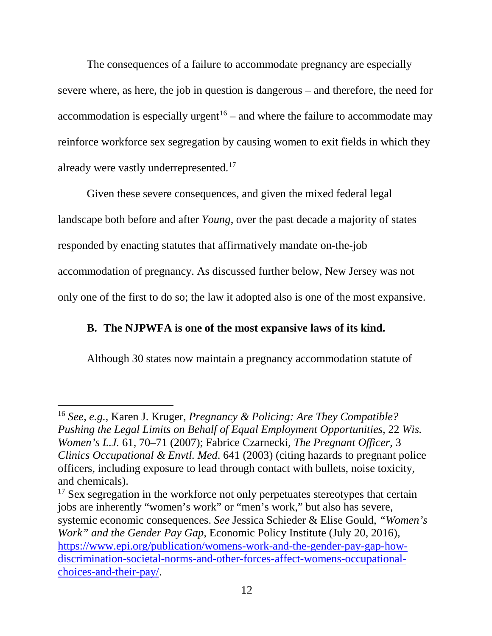The consequences of a failure to accommodate pregnancy are especially severe where, as here, the job in question is dangerous – and therefore, the need for accommodation is especially urgent<sup>[16](#page-22-1)</sup> – and where the failure to accommodate may reinforce workforce sex segregation by causing women to exit fields in which they already were vastly underrepresented.<sup>[17](#page-22-2)</sup>

Given these severe consequences, and given the mixed federal legal landscape both before and after *Young*, over the past decade a majority of states responded by enacting statutes that affirmatively mandate on-the-job accommodation of pregnancy. As discussed further below, New Jersey was not only one of the first to do so; the law it adopted also is one of the most expansive.

# <span id="page-22-0"></span>**B. The NJPWFA is one of the most expansive laws of its kind.**

Although 30 states now maintain a pregnancy accommodation statute of

 $\overline{a}$ 

<span id="page-22-1"></span><sup>16</sup> *See, e.g.*, Karen J. Kruger, *Pregnancy & Policing: Are They Compatible? Pushing the Legal Limits on Behalf of Equal Employment Opportunities*, 22 *Wis. Women's L.J.* 61, 70–71 (2007); Fabrice Czarnecki, *The Pregnant Officer*, 3 *Clinics Occupational & Envtl. Med*. 641 (2003) (citing hazards to pregnant police officers, including exposure to lead through contact with bullets, noise toxicity, and chemicals).

<span id="page-22-2"></span><sup>&</sup>lt;sup>17</sup> Sex segregation in the workforce not only perpetuates stereotypes that certain jobs are inherently "women's work" or "men's work," but also has severe, systemic economic consequences. *See* Jessica Schieder & Elise Gould, *"Women's Work" and the Gender Pay Gap*, Economic Policy Institute (July 20, 2016), [https://www.epi.org/publication/womens-work-and-the-gender-pay-gap-how](https://www.epi.org/publication/womens-work-and-the-gender-pay-gap-how-discrimination-societal-norms-and-other-forces-affect-womens-occupational-choices-and-their-pay/)[discrimination-societal-norms-and-other-forces-affect-womens-occupational](https://www.epi.org/publication/womens-work-and-the-gender-pay-gap-how-discrimination-societal-norms-and-other-forces-affect-womens-occupational-choices-and-their-pay/)[choices-and-their-pay/.](https://www.epi.org/publication/womens-work-and-the-gender-pay-gap-how-discrimination-societal-norms-and-other-forces-affect-womens-occupational-choices-and-their-pay/)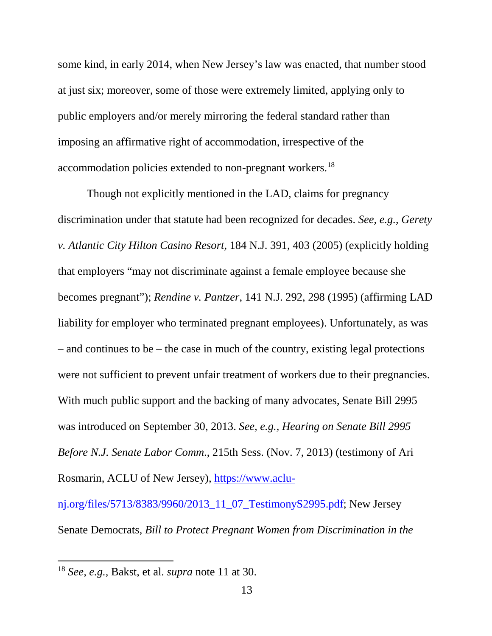some kind, in early 2014, when New Jersey's law was enacted, that number stood at just six; moreover, some of those were extremely limited, applying only to public employers and/or merely mirroring the federal standard rather than imposing an affirmative right of accommodation, irrespective of the accommodation policies extended to non-pregnant workers.[18](#page-23-0)

Though not explicitly mentioned in the LAD, claims for pregnancy discrimination under that statute had been recognized for decades. *See, e.g., Gerety v. Atlantic City Hilton Casino Resort,* 184 N.J. 391, 403 (2005) (explicitly holding that employers "may not discriminate against a female employee because she becomes pregnant"); *Rendine v. Pantzer*, 141 N.J. 292, 298 (1995) (affirming LAD liability for employer who terminated pregnant employees). Unfortunately, as was – and continues to be – the case in much of the country, existing legal protections were not sufficient to prevent unfair treatment of workers due to their pregnancies. With much public support and the backing of many advocates, Senate Bill 2995 was introduced on September 30, 2013. *See, e.g., Hearing on Senate Bill 2995 Before N.J. Senate Labor Comm*., 215th Sess. (Nov. 7, 2013) (testimony of Ari Rosmarin, ACLU of New Jersey), [https://www.aclu-](https://www.aclu-nj.org/files/5713/8383/9960/2013_11_07_TestimonyS2995.pdf)

[nj.org/files/5713/8383/9960/2013\\_11\\_07\\_TestimonyS2995.pdf;](https://www.aclu-nj.org/files/5713/8383/9960/2013_11_07_TestimonyS2995.pdf) New Jersey Senate Democrats, *Bill to Protect Pregnant Women from Discrimination in the* 

 $\overline{a}$ 

<span id="page-23-0"></span><sup>18</sup> *See, e.g.,* Bakst, et al. *supra* note 11 at 30.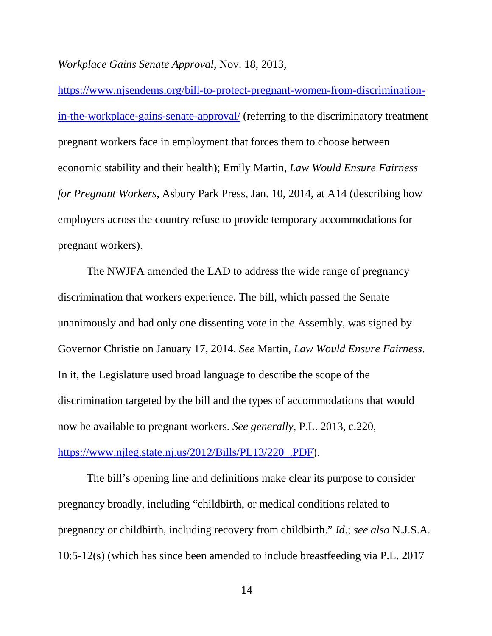*Workplace Gains Senate Approval*, Nov. 18, 2013,

[https://www.njsendems.org/bill-to-protect-pregnant-women-from-discrimination](https://www.njsendems.org/bill-to-protect-pregnant-women-from-discrimination-in-the-workplace-gains-senate-approval/)[in-the-workplace-gains-senate-approval/](https://www.njsendems.org/bill-to-protect-pregnant-women-from-discrimination-in-the-workplace-gains-senate-approval/) (referring to the discriminatory treatment pregnant workers face in employment that forces them to choose between economic stability and their health); Emily Martin, *Law Would Ensure Fairness for Pregnant Workers*, Asbury Park Press, Jan. 10, 2014, at A14 (describing how employers across the country refuse to provide temporary accommodations for pregnant workers).

The NWJFA amended the LAD to address the wide range of pregnancy discrimination that workers experience. The bill, which passed the Senate unanimously and had only one dissenting vote in the Assembly, was signed by Governor Christie on January 17, 2014. *See* Martin, *Law Would Ensure Fairness*. In it, the Legislature used broad language to describe the scope of the discrimination targeted by the bill and the types of accommodations that would now be available to pregnant workers. *See generally*, P.L. 2013, c.220, [https://www.njleg.state.nj.us/2012/Bills/PL13/220\\_.PDF\)](https://www.njleg.state.nj.us/2012/Bills/PL13/220_.PDF).

The bill's opening line and definitions make clear its purpose to consider pregnancy broadly, including "childbirth, or medical conditions related to pregnancy or childbirth, including recovery from childbirth." *Id*.; *see also* N.J.S.A. 10:5-12(s) (which has since been amended to include breastfeeding via P.L. 2017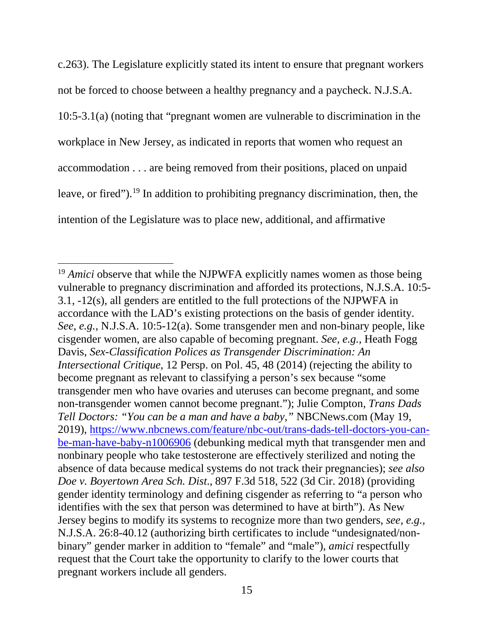c.263). The Legislature explicitly stated its intent to ensure that pregnant workers not be forced to choose between a healthy pregnancy and a paycheck. N.J.S.A. 10:5-3.1(a) (noting that "pregnant women are vulnerable to discrimination in the workplace in New Jersey, as indicated in reports that women who request an accommodation . . . are being removed from their positions, placed on unpaid leave, or fired"). [19](#page-25-0) In addition to prohibiting pregnancy discrimination, then, the intention of the Legislature was to place new, additional, and affirmative

 $\overline{\phantom{a}}$ 

<span id="page-25-0"></span><sup>&</sup>lt;sup>19</sup> *Amici* observe that while the NJPWFA explicitly names women as those being vulnerable to pregnancy discrimination and afforded its protections, N.J.S.A. 10:5- 3.1, -12(s), all genders are entitled to the full protections of the NJPWFA in accordance with the LAD's existing protections on the basis of gender identity. *See, e.g.,* N.J.S.A. 10:5-12(a). Some transgender men and non-binary people, like cisgender women, are also capable of becoming pregnant. *See, e.g.,* Heath Fogg Davis, *Sex-Classification Polices as Transgender Discrimination: An Intersectional Critique*, 12 Persp. on Pol. 45, 48 (2014) (rejecting the ability to become pregnant as relevant to classifying a person's sex because "some transgender men who have ovaries and uteruses can become pregnant, and some non-transgender women cannot become pregnant."); Julie Compton, *Trans Dads Tell Doctors: "You can be a man and have a baby,"* NBCNews.com (May 19, 2019), [https://www.nbcnews.com/feature/nbc-out/trans-dads-tell-doctors-you-can](https://www.nbcnews.com/feature/nbc-out/trans-dads-tell-doctors-you-can-be-man-have-baby-n1006906)[be-man-have-baby-n1006906](https://www.nbcnews.com/feature/nbc-out/trans-dads-tell-doctors-you-can-be-man-have-baby-n1006906) (debunking medical myth that transgender men and nonbinary people who take testosterone are effectively sterilized and noting the absence of data because medical systems do not track their pregnancies); *see also Doe v. Boyertown Area Sch. Dist*., 897 F.3d 518, 522 (3d Cir. 2018) (providing gender identity terminology and defining cisgender as referring to "a person who identifies with the sex that person was determined to have at birth"). As New Jersey begins to modify its systems to recognize more than two genders, *see, e.g.,* N.J.S.A. 26:8-40.12 (authorizing birth certificates to include "undesignated/nonbinary" gender marker in addition to "female" and "male"), *amici* respectfully request that the Court take the opportunity to clarify to the lower courts that pregnant workers include all genders.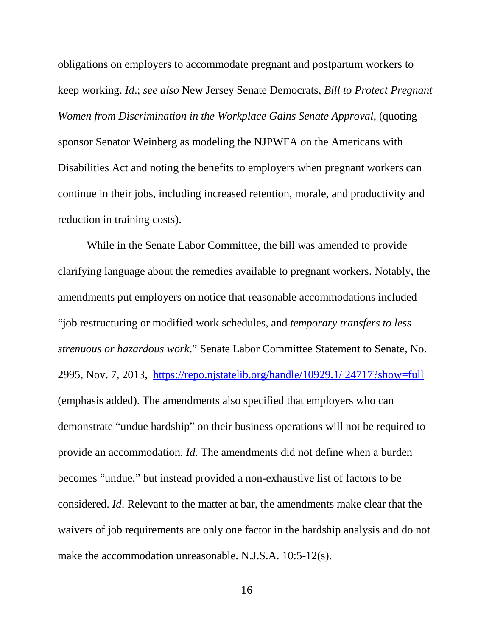obligations on employers to accommodate pregnant and postpartum workers to keep working. *Id*.; *see also* New Jersey Senate Democrats, *Bill to Protect Pregnant Women from Discrimination in the Workplace Gains Senate Approval*, (quoting sponsor Senator Weinberg as modeling the NJPWFA on the Americans with Disabilities Act and noting the benefits to employers when pregnant workers can continue in their jobs, including increased retention, morale, and productivity and reduction in training costs).

While in the Senate Labor Committee, the bill was amended to provide clarifying language about the remedies available to pregnant workers. Notably, the amendments put employers on notice that reasonable accommodations included "job restructuring or modified work schedules, and *temporary transfers to less strenuous or hazardous work*." Senate Labor Committee Statement to Senate, No. 2995, Nov. 7, 2013, [https://repo.njstatelib.org/handle/10929.1/ 24717?show=full](https://repo.njstatelib.org/handle/10929.1/24717?show=full) (emphasis added). The amendments also specified that employers who can demonstrate "undue hardship" on their business operations will not be required to provide an accommodation. *Id*. The amendments did not define when a burden becomes "undue," but instead provided a non-exhaustive list of factors to be considered. *Id*. Relevant to the matter at bar, the amendments make clear that the waivers of job requirements are only one factor in the hardship analysis and do not make the accommodation unreasonable. N.J.S.A. 10:5-12(s).

16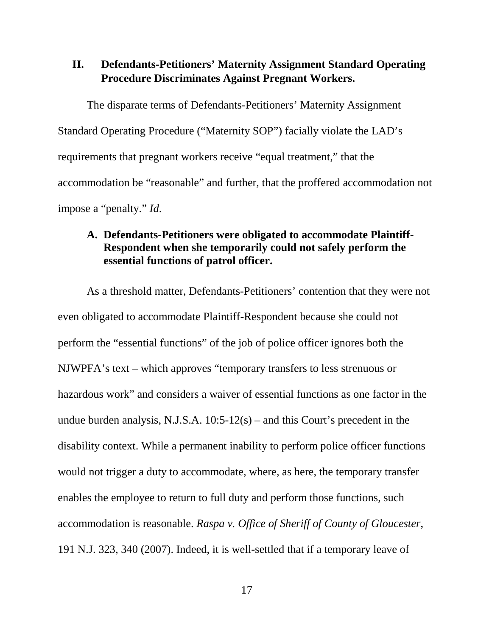## <span id="page-27-0"></span>**II. Defendants-Petitioners' Maternity Assignment Standard Operating Procedure Discriminates Against Pregnant Workers.**

The disparate terms of Defendants-Petitioners' Maternity Assignment Standard Operating Procedure ("Maternity SOP") facially violate the LAD's requirements that pregnant workers receive "equal treatment," that the accommodation be "reasonable" and further, that the proffered accommodation not impose a "penalty." *Id*.

### <span id="page-27-1"></span>**A. Defendants-Petitioners were obligated to accommodate Plaintiff-Respondent when she temporarily could not safely perform the essential functions of patrol officer.**

As a threshold matter, Defendants-Petitioners' contention that they were not even obligated to accommodate Plaintiff-Respondent because she could not perform the "essential functions" of the job of police officer ignores both the NJWPFA's text – which approves "temporary transfers to less strenuous or hazardous work" and considers a waiver of essential functions as one factor in the undue burden analysis, N.J.S.A. 10:5-12(s) – and this Court's precedent in the disability context. While a permanent inability to perform police officer functions would not trigger a duty to accommodate, where, as here, the temporary transfer enables the employee to return to full duty and perform those functions, such accommodation is reasonable. *Raspa v. Office of Sheriff of County of Gloucester*, 191 N.J. 323, 340 (2007). Indeed, it is well-settled that if a temporary leave of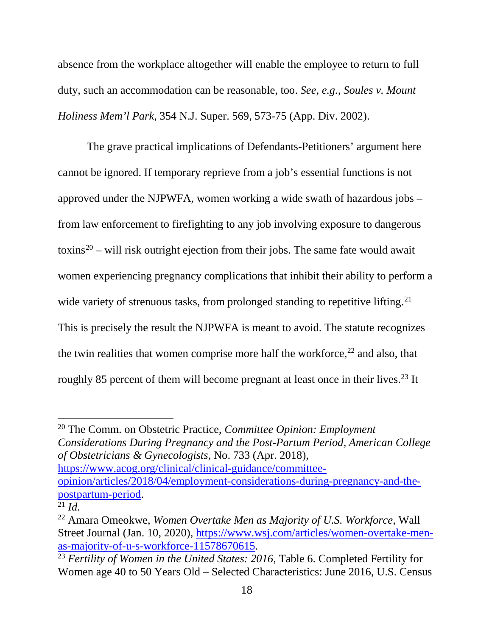absence from the workplace altogether will enable the employee to return to full duty, such an accommodation can be reasonable, too. *See, e.g., Soules v. Mount Holiness Mem'l Park*, 354 N.J. Super. 569, 573-75 (App. Div. 2002).

The grave practical implications of Defendants-Petitioners' argument here cannot be ignored. If temporary reprieve from a job's essential functions is not approved under the NJPWFA, women working a wide swath of hazardous jobs – from law enforcement to firefighting to any job involving exposure to dangerous toxins<sup>[20](#page-28-0)</sup> – will risk outright ejection from their jobs. The same fate would await women experiencing pregnancy complications that inhibit their ability to perform a wide variety of strenuous tasks, from prolonged standing to repetitive lifting.<sup>[21](#page-28-1)</sup> This is precisely the result the NJPWFA is meant to avoid. The statute recognizes the twin realities that women comprise more half the workforce, $22$  and also, that roughly 85 percent of them will become pregnant at least once in their lives.<sup>[23](#page-28-3)</sup> It

<span id="page-28-0"></span><sup>20</sup> The Comm. on Obstetric Practice, *Committee Opinion: Employment Considerations During Pregnancy and the Post-Partum Period*, *American College of Obstetricians & Gynecologists*, No. 733 (Apr. 2018), [https://www.acog.org/clinical/clinical-guidance/committee](https://www.acog.org/clinical/clinical-guidance/committee-opinion/articles/2018/04/employment-considerations-during-pregnancy-and-the-postpartum-period)[opinion/articles/2018/04/employment-considerations-during-pregnancy-and-the](https://www.acog.org/clinical/clinical-guidance/committee-opinion/articles/2018/04/employment-considerations-during-pregnancy-and-the-postpartum-period)[postpartum-period.](https://www.acog.org/clinical/clinical-guidance/committee-opinion/articles/2018/04/employment-considerations-during-pregnancy-and-the-postpartum-period)

 $\overline{\phantom{a}}$ 

<span id="page-28-1"></span> $\frac{21}{21}$ *Id.* 

<span id="page-28-2"></span><sup>22</sup> Amara Omeokwe, *Women Overtake Men as Majority of U.S. Workforce*, Wall Street Journal (Jan. 10, 2020), [https://www.wsj.com/articles/women-overtake-men](https://www.wsj.com/articles/women-overtake-men-as-majority-of-u-s-workforce-11578670615)[as-majority-of-u-s-workforce-11578670615.](https://www.wsj.com/articles/women-overtake-men-as-majority-of-u-s-workforce-11578670615)

<span id="page-28-3"></span><sup>23</sup> *Fertility of Women in the United States: 2016*, Table 6. Completed Fertility for Women age 40 to 50 Years Old – Selected Characteristics: June 2016, U.S. Census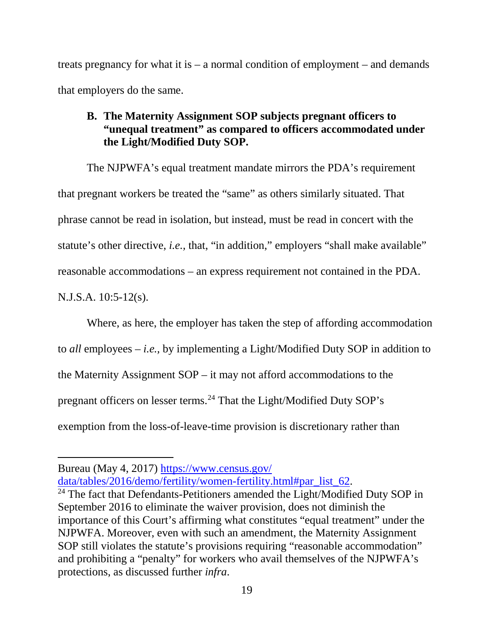treats pregnancy for what it is – a normal condition of employment – and demands that employers do the same.

# <span id="page-29-0"></span>**B. The Maternity Assignment SOP subjects pregnant officers to "unequal treatment" as compared to officers accommodated under the Light/Modified Duty SOP.**

The NJPWFA's equal treatment mandate mirrors the PDA's requirement that pregnant workers be treated the "same" as others similarly situated. That phrase cannot be read in isolation, but instead, must be read in concert with the statute's other directive, *i.e.,* that, "in addition," employers "shall make available" reasonable accommodations – an express requirement not contained in the PDA. N.J.S.A. 10:5-12(s).

Where, as here, the employer has taken the step of affording accommodation to *all* employees – *i.e.,* by implementing a Light/Modified Duty SOP in addition to the Maternity Assignment SOP – it may not afford accommodations to the pregnant officers on lesser terms.[24](#page-29-1) That the Light/Modified Duty SOP's exemption from the loss-of-leave-time provision is discretionary rather than

 $\overline{\phantom{a}}$ 

Bureau (May 4, 2017) [https://www.census.gov/](https://www.census.gov/%20data/tables/2016/demo/fertility/women-fertility.html#par_list_62)  [data/tables/2016/demo/fertility/women-fertility.html#par\\_list\\_62.](https://www.census.gov/%20data/tables/2016/demo/fertility/women-fertility.html#par_list_62)

<span id="page-29-1"></span><sup>&</sup>lt;sup>24</sup> The fact that Defendants-Petitioners amended the Light/Modified Duty SOP in September 2016 to eliminate the waiver provision, does not diminish the importance of this Court's affirming what constitutes "equal treatment" under the NJPWFA. Moreover, even with such an amendment, the Maternity Assignment SOP still violates the statute's provisions requiring "reasonable accommodation" and prohibiting a "penalty" for workers who avail themselves of the NJPWFA's protections, as discussed further *infra*.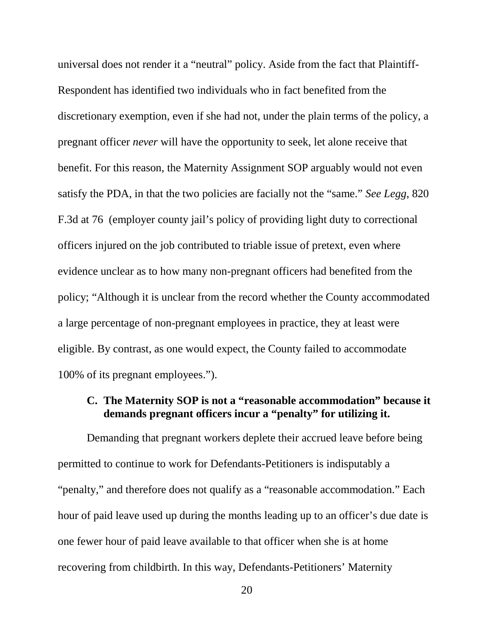universal does not render it a "neutral" policy. Aside from the fact that Plaintiff-Respondent has identified two individuals who in fact benefited from the discretionary exemption, even if she had not, under the plain terms of the policy, a pregnant officer *never* will have the opportunity to seek, let alone receive that benefit. For this reason, the Maternity Assignment SOP arguably would not even satisfy the PDA, in that the two policies are facially not the "same." *See Legg*, 820 F.3d at 76 (employer county jail's policy of providing light duty to correctional officers injured on the job contributed to triable issue of pretext, even where evidence unclear as to how many non-pregnant officers had benefited from the policy; "Although it is unclear from the record whether the County accommodated a large percentage of non-pregnant employees in practice, they at least were eligible. By contrast, as one would expect, the County failed to accommodate 100% of its pregnant employees.").

### <span id="page-30-0"></span>**C. The Maternity SOP is not a "reasonable accommodation" because it demands pregnant officers incur a "penalty" for utilizing it.**

Demanding that pregnant workers deplete their accrued leave before being permitted to continue to work for Defendants-Petitioners is indisputably a "penalty," and therefore does not qualify as a "reasonable accommodation." Each hour of paid leave used up during the months leading up to an officer's due date is one fewer hour of paid leave available to that officer when she is at home recovering from childbirth. In this way, Defendants-Petitioners' Maternity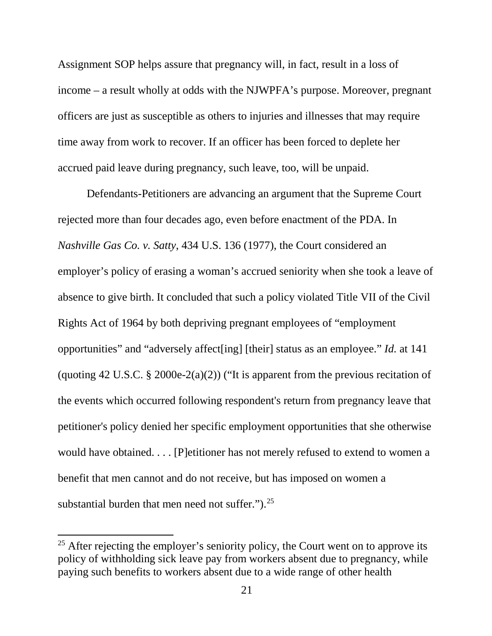Assignment SOP helps assure that pregnancy will, in fact, result in a loss of income – a result wholly at odds with the NJWPFA's purpose. Moreover, pregnant officers are just as susceptible as others to injuries and illnesses that may require time away from work to recover. If an officer has been forced to deplete her accrued paid leave during pregnancy, such leave, too, will be unpaid.

Defendants-Petitioners are advancing an argument that the Supreme Court rejected more than four decades ago, even before enactment of the PDA. In *Nashville Gas Co. v. Satty*, 434 U.S. 136 (1977), the Court considered an employer's policy of erasing a woman's accrued seniority when she took a leave of absence to give birth. It concluded that such a policy violated Title VII of the Civil Rights Act of 1964 by both depriving pregnant employees of "employment opportunities" and "adversely affect[ing] [their] status as an employee." *Id.* at 141 (quoting 42 U.S.C. § 2000e-2(a)(2)) ("It is apparent from the previous recitation of the events which occurred following respondent's return from pregnancy leave that petitioner's policy denied her specific employment opportunities that she otherwise would have obtained. . . . [P]etitioner has not merely refused to extend to women a benefit that men cannot and do not receive, but has imposed on women a substantial burden that men need not suffer." $^{25}$  $^{25}$  $^{25}$ .

<span id="page-31-0"></span><sup>&</sup>lt;sup>25</sup> After rejecting the employer's seniority policy, the Court went on to approve its policy of withholding sick leave pay from workers absent due to pregnancy, while paying such benefits to workers absent due to a wide range of other health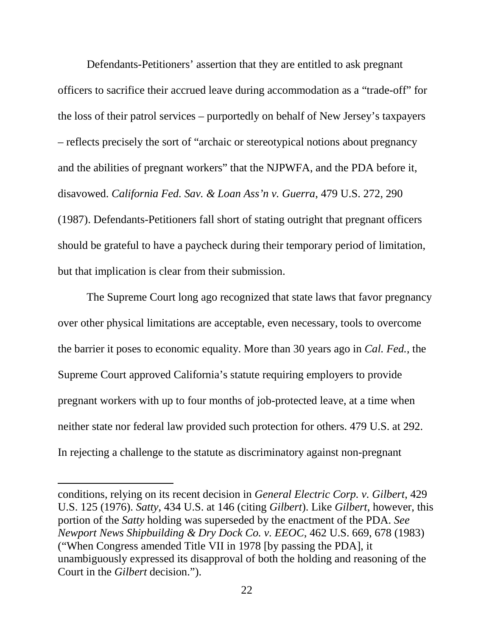Defendants-Petitioners' assertion that they are entitled to ask pregnant officers to sacrifice their accrued leave during accommodation as a "trade-off" for the loss of their patrol services – purportedly on behalf of New Jersey's taxpayers – reflects precisely the sort of "archaic or stereotypical notions about pregnancy and the abilities of pregnant workers" that the NJPWFA, and the PDA before it, disavowed. *California Fed. Sav. & Loan Ass'n v. Guerra*, 479 U.S. 272, 290 (1987). Defendants-Petitioners fall short of stating outright that pregnant officers should be grateful to have a paycheck during their temporary period of limitation, but that implication is clear from their submission.

The Supreme Court long ago recognized that state laws that favor pregnancy over other physical limitations are acceptable, even necessary, tools to overcome the barrier it poses to economic equality. More than 30 years ago in *Cal. Fed.*, the Supreme Court approved California's statute requiring employers to provide pregnant workers with up to four months of job-protected leave, at a time when neither state nor federal law provided such protection for others. 479 U.S. at 292. In rejecting a challenge to the statute as discriminatory against non-pregnant

conditions, relying on its recent decision in *General Electric Corp. v. Gilbert*, 429 U.S. 125 (1976). *Satty*, 434 U.S. at 146 (citing *Gilbert*). Like *Gilbert*, however, this portion of the *Satty* holding was superseded by the enactment of the PDA. *See Newport News Shipbuilding & Dry Dock Co. v. EEOC*, 462 U.S. 669, 678 (1983) ("When Congress amended Title VII in 1978 [by passing the PDA], it unambiguously expressed its disapproval of both the holding and reasoning of the Court in the *Gilbert* decision.").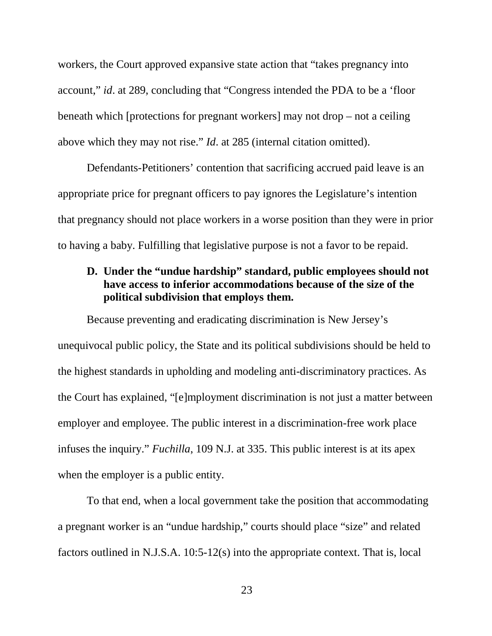workers, the Court approved expansive state action that "takes pregnancy into account," *id*. at 289, concluding that "Congress intended the PDA to be a 'floor beneath which [protections for pregnant workers] may not drop – not a ceiling above which they may not rise." *Id*. at 285 (internal citation omitted).

Defendants-Petitioners' contention that sacrificing accrued paid leave is an appropriate price for pregnant officers to pay ignores the Legislature's intention that pregnancy should not place workers in a worse position than they were in prior to having a baby. Fulfilling that legislative purpose is not a favor to be repaid.

# <span id="page-33-0"></span>**D. Under the "undue hardship" standard, public employees should not have access to inferior accommodations because of the size of the political subdivision that employs them.**

Because preventing and eradicating discrimination is New Jersey's unequivocal public policy, the State and its political subdivisions should be held to the highest standards in upholding and modeling anti-discriminatory practices. As the Court has explained, "[e]mployment discrimination is not just a matter between employer and employee. The public interest in a discrimination-free work place infuses the inquiry." *Fuchilla*, 109 N.J. at 335. This public interest is at its apex when the employer is a public entity.

To that end, when a local government take the position that accommodating a pregnant worker is an "undue hardship," courts should place "size" and related factors outlined in N.J.S.A. 10:5-12(s) into the appropriate context. That is, local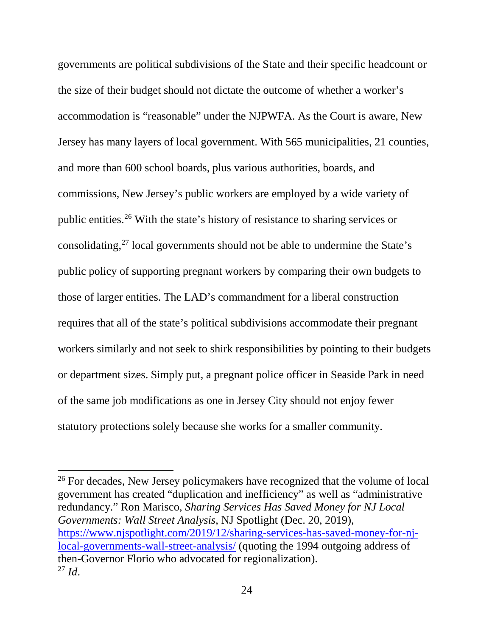governments are political subdivisions of the State and their specific headcount or the size of their budget should not dictate the outcome of whether a worker's accommodation is "reasonable" under the NJPWFA. As the Court is aware, New Jersey has many layers of local government. With 565 municipalities, 21 counties, and more than 600 school boards, plus various authorities, boards, and commissions, New Jersey's public workers are employed by a wide variety of public entities.[26](#page-34-0) With the state's history of resistance to sharing services or consolidating[,27](#page-34-1) local governments should not be able to undermine the State's public policy of supporting pregnant workers by comparing their own budgets to those of larger entities. The LAD's commandment for a liberal construction requires that all of the state's political subdivisions accommodate their pregnant workers similarly and not seek to shirk responsibilities by pointing to their budgets or department sizes. Simply put, a pregnant police officer in Seaside Park in need of the same job modifications as one in Jersey City should not enjoy fewer statutory protections solely because she works for a smaller community.

<span id="page-34-1"></span><span id="page-34-0"></span><sup>26</sup> For decades, New Jersey policymakers have recognized that the volume of local government has created "duplication and inefficiency" as well as "administrative redundancy." Ron Marisco, *Sharing Services Has Saved Money for NJ Local Governments: Wall Street Analysis*, NJ Spotlight (Dec. 20, 2019), [https://www.njspotlight.com/2019/12/sharing-services-has-saved-money-for-nj](https://www.njspotlight.com/2019/12/sharing-services-has-saved-money-for-nj-local-governments-wall-street-analysis/)[local-governments-wall-street-analysis/](https://www.njspotlight.com/2019/12/sharing-services-has-saved-money-for-nj-local-governments-wall-street-analysis/) (quoting the 1994 outgoing address of then-Governor Florio who advocated for regionalization). <sup>27</sup> *Id*.

 $\overline{\phantom{a}}$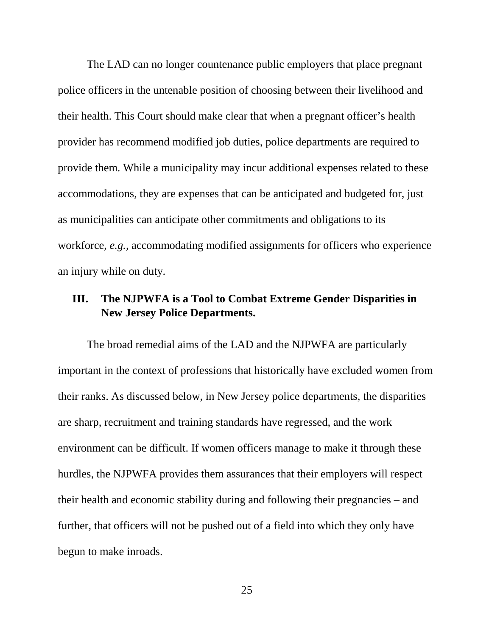The LAD can no longer countenance public employers that place pregnant police officers in the untenable position of choosing between their livelihood and their health. This Court should make clear that when a pregnant officer's health provider has recommend modified job duties, police departments are required to provide them. While a municipality may incur additional expenses related to these accommodations, they are expenses that can be anticipated and budgeted for, just as municipalities can anticipate other commitments and obligations to its workforce, *e.g.,* accommodating modified assignments for officers who experience an injury while on duty.

### <span id="page-35-0"></span>**III. The NJPWFA is a Tool to Combat Extreme Gender Disparities in New Jersey Police Departments.**

The broad remedial aims of the LAD and the NJPWFA are particularly important in the context of professions that historically have excluded women from their ranks. As discussed below, in New Jersey police departments, the disparities are sharp, recruitment and training standards have regressed, and the work environment can be difficult. If women officers manage to make it through these hurdles, the NJPWFA provides them assurances that their employers will respect their health and economic stability during and following their pregnancies – and further, that officers will not be pushed out of a field into which they only have begun to make inroads.

25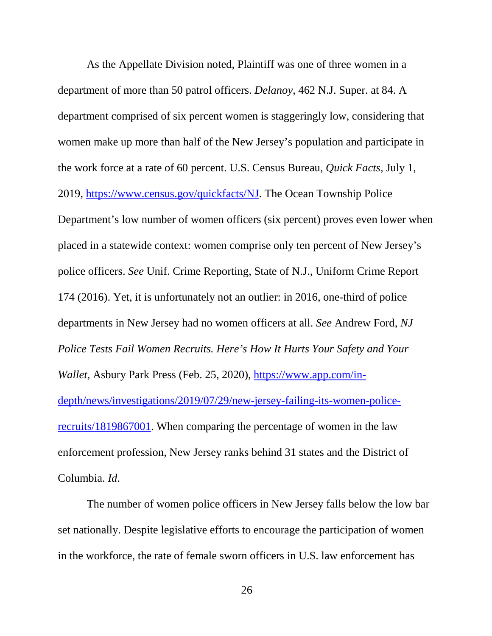As the Appellate Division noted, Plaintiff was one of three women in a department of more than 50 patrol officers. *Delanoy*, 462 N.J. Super. at 84. A department comprised of six percent women is staggeringly low, considering that women make up more than half of the New Jersey's population and participate in the work force at a rate of 60 percent. U.S. Census Bureau, *Quick Facts*, July 1, 2019, [https://www.census.gov/quickfacts/NJ.](https://www.census.gov/quickfacts/NJ) The Ocean Township Police Department's low number of women officers (six percent) proves even lower when placed in a statewide context: women comprise only ten percent of New Jersey's police officers. *See* Unif. Crime Reporting, State of N.J., Uniform Crime Report 174 (2016). Yet, it is unfortunately not an outlier: in 2016, one-third of police departments in New Jersey had no women officers at all. *See* Andrew Ford, *NJ Police Tests Fail Women Recruits. Here's How It Hurts Your Safety and Your Wallet*, Asbury Park Press (Feb. 25, 2020), [https://www.app.com/in](https://www.app.com/in-depth/news/investigations/2019/07/29/new-jersey-failing-its-women-police-recruits/1819867001)[depth/news/investigations/2019/07/29/new-jersey-failing-its-women-police](https://www.app.com/in-depth/news/investigations/2019/07/29/new-jersey-failing-its-women-police-recruits/1819867001)[recruits/1819867001.](https://www.app.com/in-depth/news/investigations/2019/07/29/new-jersey-failing-its-women-police-recruits/1819867001) When comparing the percentage of women in the law enforcement profession, New Jersey ranks behind 31 states and the District of Columbia. *Id*.

The number of women police officers in New Jersey falls below the low bar set nationally. Despite legislative efforts to encourage the participation of women in the workforce, the rate of female sworn officers in U.S. law enforcement has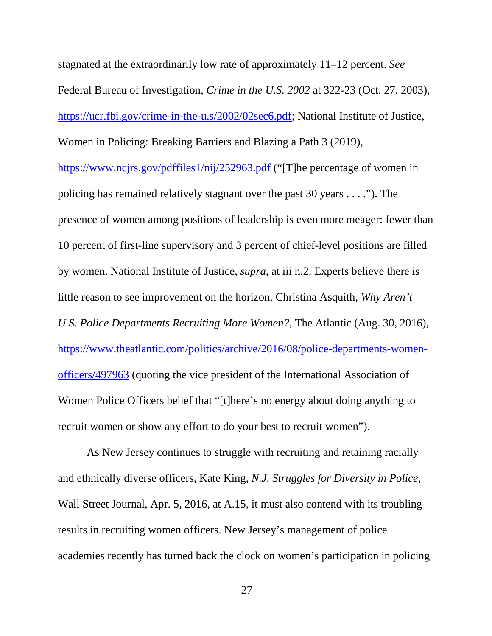stagnated at the extraordinarily low rate of approximately 11–12 percent. *See*  Federal Bureau of Investigation, *Crime in the U.S. 2002* at 322-23 (Oct. 27, 2003), [https://ucr.fbi.gov/crime-in-the-u.s/2002/02sec6.pdf;](https://ucr.fbi.gov/crime-in-the-u.s/2002/02sec6.pdf) National Institute of Justice, Women in Policing: Breaking Barriers and Blazing a Path 3 (2019),

<https://www.ncjrs.gov/pdffiles1/nij/252963.pdf> ("[T]he percentage of women in policing has remained relatively stagnant over the past 30 years . . . ."). The presence of women among positions of leadership is even more meager: fewer than 10 percent of first-line supervisory and 3 percent of chief-level positions are filled by women. National Institute of Justice, *supra*, at iii n.2. Experts believe there is little reason to see improvement on the horizon. Christina Asquith, *Why Aren't U.S. Police Departments Recruiting More Women?*, The Atlantic (Aug. 30, 2016), [https://www.theatlantic.com/politics/archive/2016/08/police-departments-women](https://www.theatlantic.com/politics/archive/2016/08/police-departments-women-officers/497963)[officers/497963](https://www.theatlantic.com/politics/archive/2016/08/police-departments-women-officers/497963) (quoting the vice president of the International Association of Women Police Officers belief that "[t]here's no energy about doing anything to recruit women or show any effort to do your best to recruit women").

As New Jersey continues to struggle with recruiting and retaining racially and ethnically diverse officers, Kate King, *N.J. Struggles for Diversity in Police,* Wall Street Journal, Apr. 5, 2016, at A.15, it must also contend with its troubling results in recruiting women officers. New Jersey's management of police academies recently has turned back the clock on women's participation in policing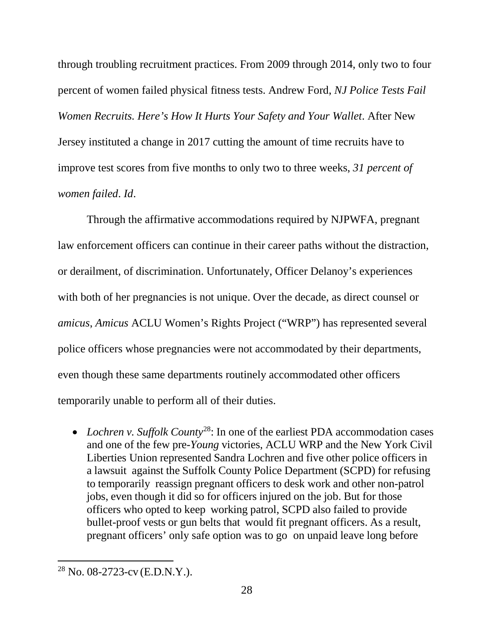through troubling recruitment practices. From 2009 through 2014, only two to four percent of women failed physical fitness tests. Andrew Ford, *NJ Police Tests Fail Women Recruits. Here's How It Hurts Your Safety and Your Wallet*. After New Jersey instituted a change in 2017 cutting the amount of time recruits have to improve test scores from five months to only two to three weeks, *31 percent of women failed*. *Id*.

Through the affirmative accommodations required by NJPWFA, pregnant law enforcement officers can continue in their career paths without the distraction, or derailment, of discrimination. Unfortunately, Officer Delanoy's experiences with both of her pregnancies is not unique. Over the decade, as direct counsel or *amicus*, *Amicus* ACLU Women's Rights Project ("WRP") has represented several police officers whose pregnancies were not accommodated by their departments, even though these same departments routinely accommodated other officers temporarily unable to perform all of their duties.

• *Lochren v. Suffolk County*[28](#page-38-0): In one of the earliest PDA accommodation cases and one of the few pre-*Young* victories, ACLU WRP and the New York Civil Liberties Union represented Sandra Lochren and five other police officers in a lawsuit against the Suffolk County Police Department (SCPD) for refusing to temporarily reassign pregnant officers to desk work and other non-patrol jobs, even though it did so for officers injured on the job. But for those officers who opted to keep working patrol, SCPD also failed to provide bullet-proof vests or gun belts that would fit pregnant officers. As a result, pregnant officers' only safe option was to go on unpaid leave long before

 $\overline{a}$ 

<span id="page-38-0"></span><sup>28</sup> No. 08-2723-cv (E.D.N.Y.).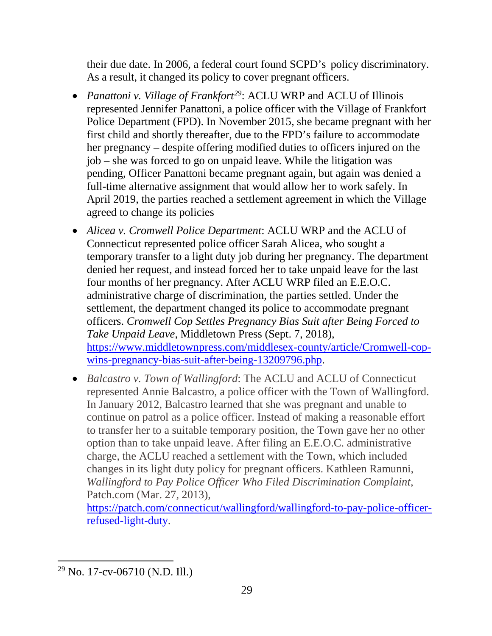their due date. In 2006, a federal court found SCPD's policy discriminatory. As a result, it changed its policy to cover pregnant officers.

- *Panattoni v. Village of Frankfort<sup>[29](#page-39-0)</sup>:* ACLU WRP and ACLU of Illinois represented Jennifer Panattoni, a police officer with the Village of Frankfort Police Department (FPD). In November 2015, she became pregnant with her first child and shortly thereafter, due to the FPD's failure to accommodate her pregnancy – despite offering modified duties to officers injured on the job – she was forced to go on unpaid leave. While the litigation was pending, Officer Panattoni became pregnant again, but again was denied a full-time alternative assignment that would allow her to work safely. In April 2019, the parties reached a settlement agreement in which the Village agreed to change its policies
- *Alicea v. Cromwell Police Department*: ACLU WRP and the ACLU of Connecticut represented police officer Sarah Alicea, who sought a temporary transfer to a light duty job during her pregnancy. The department denied her request, and instead forced her to take unpaid leave for the last four months of her pregnancy. After ACLU WRP filed an E.E.O.C. administrative charge of discrimination, the parties settled. Under the settlement, the department changed its police to accommodate pregnant officers. *Cromwell Cop Settles Pregnancy Bias Suit after Being Forced to Take Unpaid Leave*, Middletown Press (Sept. 7, 2018), [https://www.middletownpress.com/middlesex-county/article/Cromwell-cop](https://www.middletownpress.com/middlesex-county/article/Cromwell-cop-wins-pregnancy-bias-suit-after-being-13209796.php)[wins-pregnancy-bias-suit-after-being-13209796.php.](https://www.middletownpress.com/middlesex-county/article/Cromwell-cop-wins-pregnancy-bias-suit-after-being-13209796.php)
- *Balcastro v. Town of Wallingford*: The ACLU and ACLU of Connecticut represented Annie Balcastro, a police officer with the Town of Wallingford. In January 2012, Balcastro learned that she was pregnant and unable to continue on patrol as a police officer. Instead of making a reasonable effort to transfer her to a suitable temporary position, the Town gave her no other option than to take unpaid leave. After filing an E.E.O.C. administrative charge, the ACLU reached a settlement with the Town, which included changes in its light duty policy for pregnant officers. Kathleen Ramunni, *Wallingford to Pay Police Officer Who Filed Discrimination Complaint*, Patch.com (Mar. 27, 2013),

[https://patch.com/connecticut/wallingford/wallingford-to-pay-police-officer](https://patch.com/connecticut/wallingford/wallingford-to-pay-police-officer-refused-light-duty)[refused-light-duty.](https://patch.com/connecticut/wallingford/wallingford-to-pay-police-officer-refused-light-duty)

 $\overline{a}$ 

<span id="page-39-0"></span><sup>29</sup> No. 17-cv-06710 (N.D. Ill.)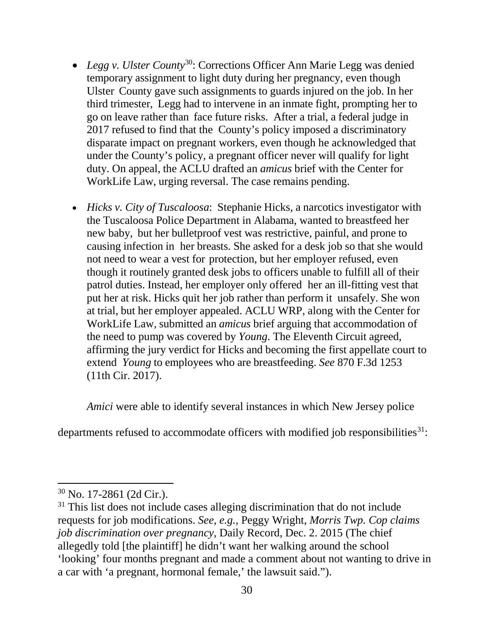- *Legg v. Ulster County*[30:](#page-40-0) Corrections Officer Ann Marie Legg was denied temporary assignment to light duty during her pregnancy, even though Ulster County gave such assignments to guards injured on the job. In her third trimester, Legg had to intervene in an inmate fight, prompting her to go on leave rather than face future risks. After a trial, a federal judge in 2017 refused to find that the County's policy imposed a discriminatory disparate impact on pregnant workers, even though he acknowledged that under the County's policy, a pregnant officer never will qualify for light duty. On appeal, the ACLU drafted an *amicus* brief with the Center for WorkLife Law, urging reversal. The case remains pending.
- *Hicks v. City of Tuscaloosa*: Stephanie Hicks, a narcotics investigator with the Tuscaloosa Police Department in Alabama, wanted to breastfeed her new baby, but her bulletproof vest was restrictive, painful, and prone to causing infection in her breasts. She asked for a desk job so that she would not need to wear a vest for protection, but her employer refused, even though it routinely granted desk jobs to officers unable to fulfill all of their patrol duties. Instead, her employer only offered her an ill-fitting vest that put her at risk. Hicks quit her job rather than perform it unsafely. She won at trial, but her employer appealed. ACLU WRP, along with the Center for WorkLife Law, submitted an *amicus* brief arguing that accommodation of the need to pump was covered by *Young*. The Eleventh Circuit agreed, affirming the jury verdict for Hicks and becoming the first appellate court to extend *Young* to employees who are breastfeeding. *See* 870 F.3d 1253 (11th Cir. 2017).

*Amici* were able to identify several instances in which New Jersey police

departments refused to accommodate officers with modified job responsibilities $31$ :

<span id="page-40-0"></span><sup>30</sup> No. 17-2861 (2d Cir.).

<span id="page-40-1"></span><sup>&</sup>lt;sup>31</sup> This list does not include cases alleging discrimination that do not include requests for job modifications. *See, e.g.,* Peggy Wright, *Morris Twp. Cop claims job discrimination over pregnancy*, Daily Record, Dec. 2. 2015 (The chief allegedly told [the plaintiff] he didn't want her walking around the school 'looking' four months pregnant and made a comment about not wanting to drive in a car with 'a pregnant, hormonal female,' the lawsuit said.").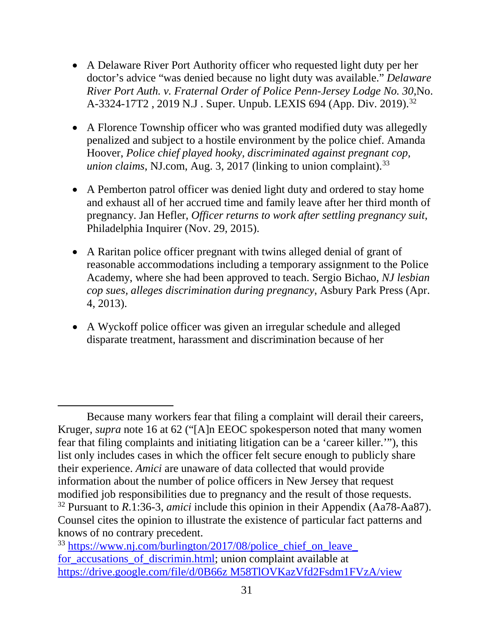- A Delaware River Port Authority officer who requested light duty per her doctor's advice "was denied because no light duty was available." *Delaware River Port Auth. v. Fraternal Order of Police Penn-Jersey Lodge No. 30*,No. A-3[32](#page-41-0)4-17T2, 2019 N.J. Super. Unpub. LEXIS 694 (App. Div. 2019).<sup>32</sup>
- A Florence Township officer who was granted modified duty was allegedly penalized and subject to a hostile environment by the police chief. Amanda Hoover, *Police chief played hooky, discriminated against pregnant cop, union claims*, NJ.com, Aug. 3, 2017 (linking to union complaint).<sup>[33](#page-41-1)</sup>
- A Pemberton patrol officer was denied light duty and ordered to stay home and exhaust all of her accrued time and family leave after her third month of pregnancy. Jan Hefler, *Officer returns to work after settling pregnancy suit*, Philadelphia Inquirer (Nov. 29, 2015).
- A Raritan police officer pregnant with twins alleged denial of grant of reasonable accommodations including a temporary assignment to the Police Academy, where she had been approved to teach. Sergio Bichao, *NJ lesbian cop sues, alleges discrimination during pregnancy*, Asbury Park Press (Apr. 4, 2013).
- A Wyckoff police officer was given an irregular schedule and alleged disparate treatment, harassment and discrimination because of her

 $\overline{a}$ 

Because many workers fear that filing a complaint will derail their careers, Kruger, *supra* note 16 at 62 ("[A]n EEOC spokesperson noted that many women fear that filing complaints and initiating litigation can be a 'career killer.'"), this list only includes cases in which the officer felt secure enough to publicly share their experience. *Amici* are unaware of data collected that would provide information about the number of police officers in New Jersey that request modified job responsibilities due to pregnancy and the result of those requests. <sup>32</sup> Pursuant to *R*.1:36-3, *amici* include this opinion in their Appendix (Aa78-Aa87). Counsel cites the opinion to illustrate the existence of particular fact patterns and knows of no contrary precedent.

<span id="page-41-1"></span><span id="page-41-0"></span><sup>&</sup>lt;sup>33</sup> https://www.nj.com/burlington/2017/08/police\_chief\_on\_leave [for\\_accusations\\_of\\_discrimin.html;](https://www.nj.com/burlington/2017/08/police_chief_on_leave_%20for_accusations_of_discrimin.html) union complaint available at [https://drive.google.com/file/d/0B66z M58TlOVKazVfd2Fsdm1FVzA/view](https://drive.google.com/file/d/0B66z%20M58TlOVKazVfd2Fsdm1FVzA/view)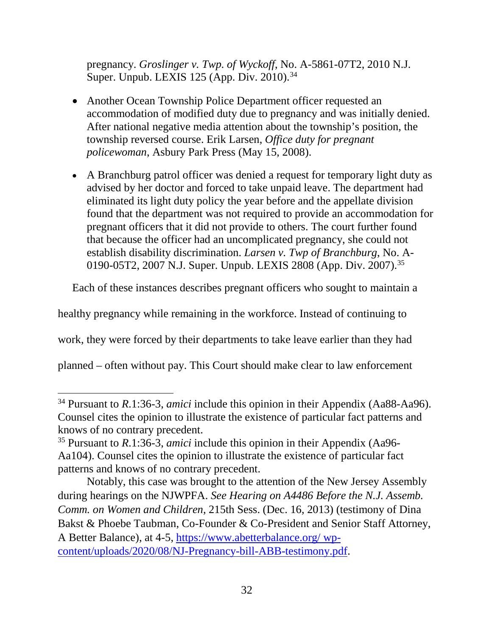pregnancy. *Groslinger v. Twp. of Wyckoff*, No. A-5861-07T2, 2010 N.J. Super. Unpub. LEXIS 125 (App. Div. 2010).<sup>[34](#page-42-0)</sup>

- Another Ocean Township Police Department officer requested an accommodation of modified duty due to pregnancy and was initially denied. After national negative media attention about the township's position, the township reversed course. Erik Larsen, *Office duty for pregnant policewoman*, Asbury Park Press (May 15, 2008).
- A Branchburg patrol officer was denied a request for temporary light duty as advised by her doctor and forced to take unpaid leave. The department had eliminated its light duty policy the year before and the appellate division found that the department was not required to provide an accommodation for pregnant officers that it did not provide to others. The court further found that because the officer had an uncomplicated pregnancy, she could not establish disability discrimination. *Larsen v. Twp of Branchburg*, No. A-0190-05T2, 2007 N.J. Super. Unpub. LEXIS 2808 (App. Div. 2007).[35](#page-42-1)

Each of these instances describes pregnant officers who sought to maintain a

healthy pregnancy while remaining in the workforce. Instead of continuing to

work, they were forced by their departments to take leave earlier than they had

planned – often without pay. This Court should make clear to law enforcement

<span id="page-42-0"></span><sup>34</sup> Pursuant to *R*.1:36-3, *amici* include this opinion in their Appendix (Aa88-Aa96). Counsel cites the opinion to illustrate the existence of particular fact patterns and knows of no contrary precedent.

<span id="page-42-1"></span><sup>35</sup> Pursuant to *R*.1:36-3, *amici* include this opinion in their Appendix (Aa96- Aa104). Counsel cites the opinion to illustrate the existence of particular fact patterns and knows of no contrary precedent.

Notably, this case was brought to the attention of the New Jersey Assembly during hearings on the NJWPFA. *See Hearing on A4486 Before the N.J. Assemb. Comm. on Women and Children*, 215th Sess. (Dec. 16, 2013) (testimony of Dina Bakst & Phoebe Taubman, Co-Founder & Co-President and Senior Staff Attorney, A Better Balance), at 4-5, [https://www.abetterbalance.org/ wp](https://www.abetterbalance.org/%20wp-content/uploads/2020/08/NJ-Pregnancy-bill-ABB-testimony.pdf)[content/uploads/2020/08/NJ-Pregnancy-bill-ABB-testimony.pdf.](https://www.abetterbalance.org/%20wp-content/uploads/2020/08/NJ-Pregnancy-bill-ABB-testimony.pdf)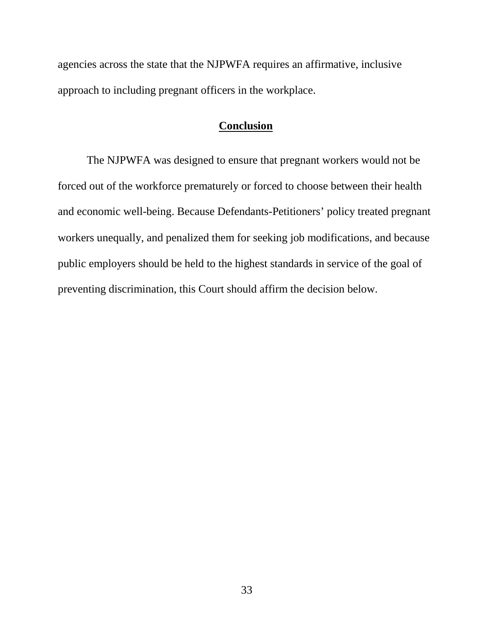agencies across the state that the NJPWFA requires an affirmative, inclusive approach to including pregnant officers in the workplace.

## **Conclusion**

<span id="page-43-0"></span>The NJPWFA was designed to ensure that pregnant workers would not be forced out of the workforce prematurely or forced to choose between their health and economic well-being. Because Defendants-Petitioners' policy treated pregnant workers unequally, and penalized them for seeking job modifications, and because public employers should be held to the highest standards in service of the goal of preventing discrimination, this Court should affirm the decision below.